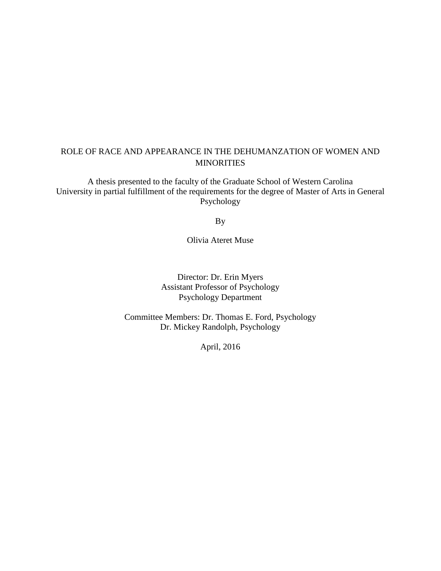### ROLE OF RACE AND APPEARANCE IN THE DEHUMANZATION OF WOMEN AND **MINORITIES**

A thesis presented to the faculty of the Graduate School of Western Carolina University in partial fulfillment of the requirements for the degree of Master of Arts in General Psychology

By

Olivia Ateret Muse

Director: Dr. Erin Myers Assistant Professor of Psychology Psychology Department

Committee Members: Dr. Thomas E. Ford, Psychology Dr. Mickey Randolph, Psychology

April, 2016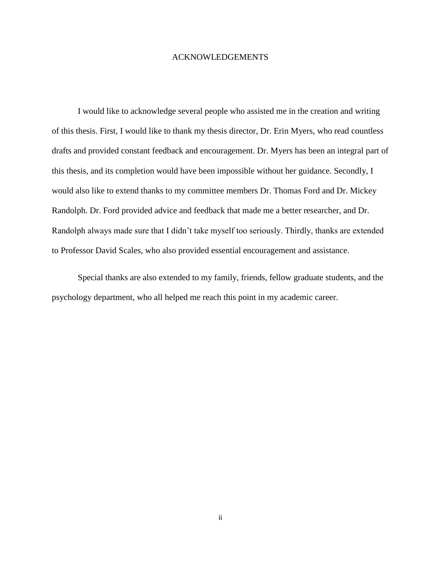#### ACKNOWLEDGEMENTS

I would like to acknowledge several people who assisted me in the creation and writing of this thesis. First, I would like to thank my thesis director, Dr. Erin Myers, who read countless drafts and provided constant feedback and encouragement. Dr. Myers has been an integral part of this thesis, and its completion would have been impossible without her guidance. Secondly, I would also like to extend thanks to my committee members Dr. Thomas Ford and Dr. Mickey Randolph. Dr. Ford provided advice and feedback that made me a better researcher, and Dr. Randolph always made sure that I didn't take myself too seriously. Thirdly, thanks are extended to Professor David Scales, who also provided essential encouragement and assistance.

Special thanks are also extended to my family, friends, fellow graduate students, and the psychology department, who all helped me reach this point in my academic career.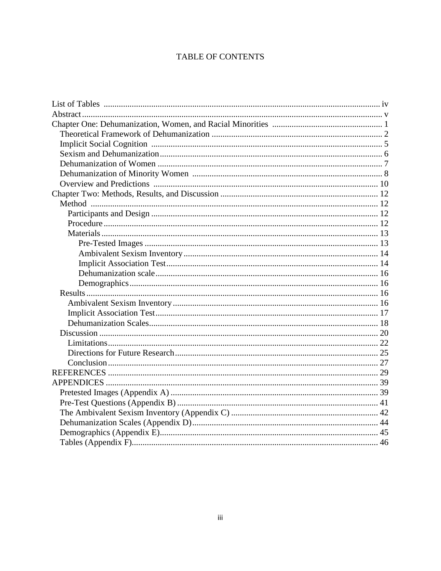### **TABLE OF CONTENTS**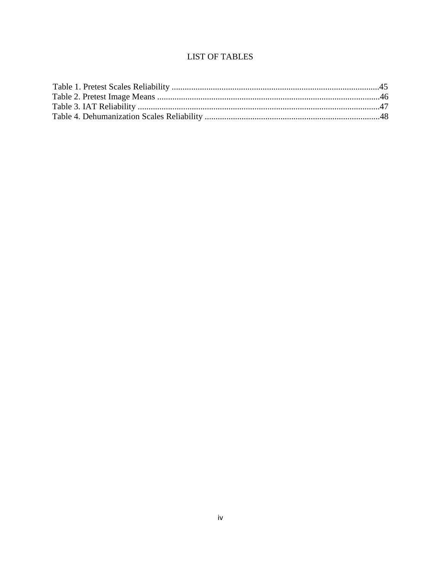## **LIST OF TABLES**

<span id="page-3-0"></span>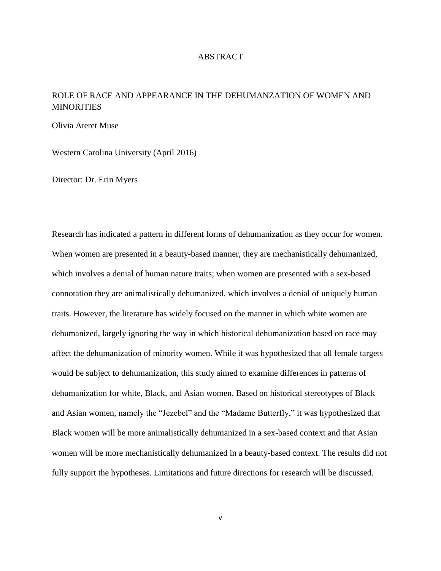#### ABSTRACT

## <span id="page-4-0"></span>ROLE OF RACE AND APPEARANCE IN THE DEHUMANZATION OF WOMEN AND **MINORITIES**

Olivia Ateret Muse

Western Carolina University (April 2016)

Director: Dr. Erin Myers

Research has indicated a pattern in different forms of dehumanization as they occur for women. When women are presented in a beauty-based manner, they are mechanistically dehumanized, which involves a denial of human nature traits; when women are presented with a sex-based connotation they are animalistically dehumanized, which involves a denial of uniquely human traits. However, the literature has widely focused on the manner in which white women are dehumanized, largely ignoring the way in which historical dehumanization based on race may affect the dehumanization of minority women. While it was hypothesized that all female targets would be subject to dehumanization, this study aimed to examine differences in patterns of dehumanization for white, Black, and Asian women. Based on historical stereotypes of Black and Asian women, namely the "Jezebel" and the "Madame Butterfly," it was hypothesized that Black women will be more animalistically dehumanized in a sex-based context and that Asian women will be more mechanistically dehumanized in a beauty-based context. The results did not fully support the hypotheses. Limitations and future directions for research will be discussed.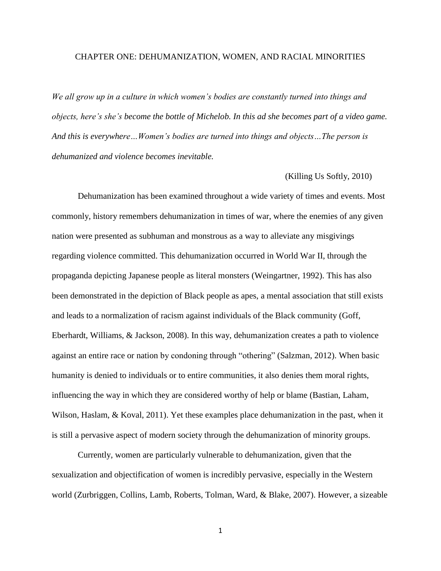#### <span id="page-5-0"></span>CHAPTER ONE: DEHUMANIZATION, WOMEN, AND RACIAL MINORITIES

*We all grow up in a culture in which women's bodies are constantly turned into things and objects, here's she's become the bottle of Michelob. In this ad she becomes part of a video game. And this is everywhere…Women's bodies are turned into things and objects…The person is dehumanized and violence becomes inevitable.*

#### (Killing Us Softly, 2010)

Dehumanization has been examined throughout a wide variety of times and events. Most commonly, history remembers dehumanization in times of war, where the enemies of any given nation were presented as subhuman and monstrous as a way to alleviate any misgivings regarding violence committed. This dehumanization occurred in World War II, through the propaganda depicting Japanese people as literal monsters (Weingartner, 1992). This has also been demonstrated in the depiction of Black people as apes, a mental association that still exists and leads to a normalization of racism against individuals of the Black community (Goff, Eberhardt, Williams, & Jackson, 2008). In this way, dehumanization creates a path to violence against an entire race or nation by condoning through "othering" (Salzman, 2012). When basic humanity is denied to individuals or to entire communities, it also denies them moral rights, influencing the way in which they are considered worthy of help or blame (Bastian, Laham, Wilson, Haslam, & Koval, 2011). Yet these examples place dehumanization in the past, when it is still a pervasive aspect of modern society through the dehumanization of minority groups.

Currently, women are particularly vulnerable to dehumanization, given that the sexualization and objectification of women is incredibly pervasive, especially in the Western world (Zurbriggen, Collins, Lamb, Roberts, Tolman, Ward, & Blake, 2007). However, a sizeable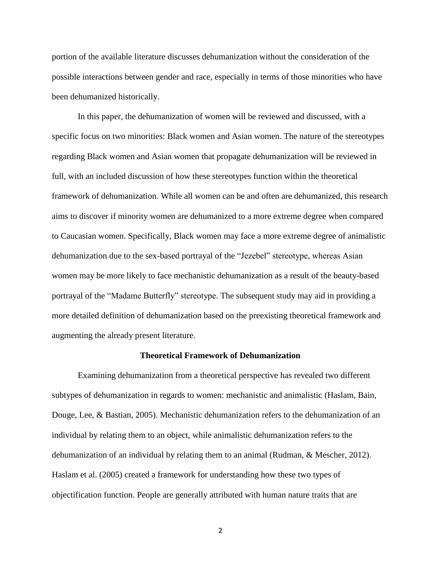portion of the available literature discusses dehumanization without the consideration of the possible interactions between gender and race, especially in terms of those minorities who have been dehumanized historically.

In this paper, the dehumanization of women will be reviewed and discussed, with a specific focus on two minorities: Black women and Asian women. The nature of the stereotypes regarding Black women and Asian women that propagate dehumanization will be reviewed in full, with an included discussion of how these stereotypes function within the theoretical framework of dehumanization. While all women can be and often are dehumanized, this research aims to discover if minority women are dehumanized to a more extreme degree when compared to Caucasian women. Specifically, Black women may face a more extreme degree of animalistic dehumanization due to the sex-based portrayal of the "Jezebel" stereotype, whereas Asian women may be more likely to face mechanistic dehumanization as a result of the beauty-based portrayal of the "Madame Butterfly" stereotype. The subsequent study may aid in providing a more detailed definition of dehumanization based on the preexisting theoretical framework and augmenting the already present literature.

#### **Theoretical Framework of Dehumanization**

<span id="page-6-0"></span>Examining dehumanization from a theoretical perspective has revealed two different subtypes of dehumanization in regards to women: mechanistic and animalistic (Haslam, Bain, Douge, Lee, & Bastian, 2005). Mechanistic dehumanization refers to the dehumanization of an individual by relating them to an object, while animalistic dehumanization refers to the dehumanization of an individual by relating them to an animal (Rudman, & Mescher, 2012). Haslam et al. (2005) created a framework for understanding how these two types of objectification function. People are generally attributed with human nature traits that are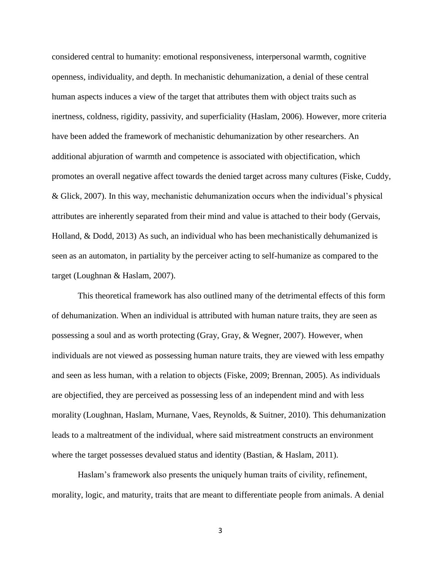considered central to humanity: emotional responsiveness, interpersonal warmth, cognitive openness, individuality, and depth. In mechanistic dehumanization, a denial of these central human aspects induces a view of the target that attributes them with object traits such as inertness, coldness, rigidity, passivity, and superficiality (Haslam, 2006). However, more criteria have been added the framework of mechanistic dehumanization by other researchers. An additional abjuration of warmth and competence is associated with objectification, which promotes an overall negative affect towards the denied target across many cultures (Fiske, Cuddy, & Glick, 2007). In this way, mechanistic dehumanization occurs when the individual's physical attributes are inherently separated from their mind and value is attached to their body (Gervais, Holland, & Dodd, 2013) As such, an individual who has been mechanistically dehumanized is seen as an automaton, in partiality by the perceiver acting to self-humanize as compared to the target (Loughnan & Haslam, 2007).

This theoretical framework has also outlined many of the detrimental effects of this form of dehumanization. When an individual is attributed with human nature traits, they are seen as possessing a soul and as worth protecting (Gray, Gray, & Wegner, 2007). However, when individuals are not viewed as possessing human nature traits, they are viewed with less empathy and seen as less human, with a relation to objects (Fiske, 2009; Brennan, 2005). As individuals are objectified, they are perceived as possessing less of an independent mind and with less morality (Loughnan, Haslam, Murnane, Vaes, Reynolds, & Suitner, 2010). This dehumanization leads to a maltreatment of the individual, where said mistreatment constructs an environment where the target possesses devalued status and identity (Bastian, & Haslam, 2011).

Haslam's framework also presents the uniquely human traits of civility, refinement, morality, logic, and maturity, traits that are meant to differentiate people from animals. A denial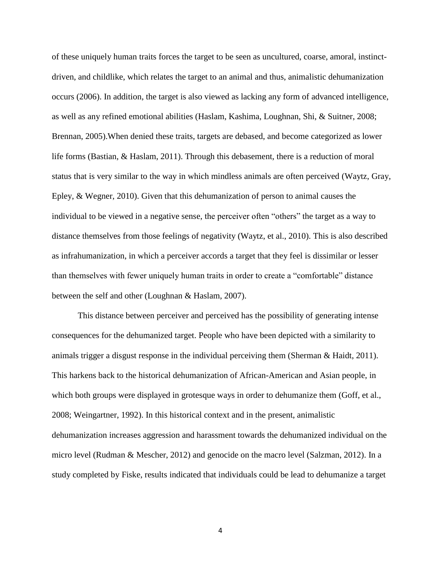of these uniquely human traits forces the target to be seen as uncultured, coarse, amoral, instinctdriven, and childlike, which relates the target to an animal and thus, animalistic dehumanization occurs (2006). In addition, the target is also viewed as lacking any form of advanced intelligence, as well as any refined emotional abilities (Haslam, Kashima, Loughnan, Shi, & Suitner, 2008; Brennan, 2005).When denied these traits, targets are debased, and become categorized as lower life forms (Bastian, & Haslam, 2011). Through this debasement, there is a reduction of moral status that is very similar to the way in which mindless animals are often perceived (Waytz, Gray, Epley, & Wegner, 2010). Given that this dehumanization of person to animal causes the individual to be viewed in a negative sense, the perceiver often "others" the target as a way to distance themselves from those feelings of negativity (Waytz, et al., 2010). This is also described as infrahumanization, in which a perceiver accords a target that they feel is dissimilar or lesser than themselves with fewer uniquely human traits in order to create a "comfortable" distance between the self and other (Loughnan & Haslam, 2007).

This distance between perceiver and perceived has the possibility of generating intense consequences for the dehumanized target. People who have been depicted with a similarity to animals trigger a disgust response in the individual perceiving them (Sherman & Haidt, 2011). This harkens back to the historical dehumanization of African-American and Asian people, in which both groups were displayed in grotesque ways in order to dehumanize them (Goff, et al., 2008; Weingartner, 1992). In this historical context and in the present, animalistic dehumanization increases aggression and harassment towards the dehumanized individual on the micro level (Rudman & Mescher, 2012) and genocide on the macro level (Salzman, 2012). In a study completed by Fiske, results indicated that individuals could be lead to dehumanize a target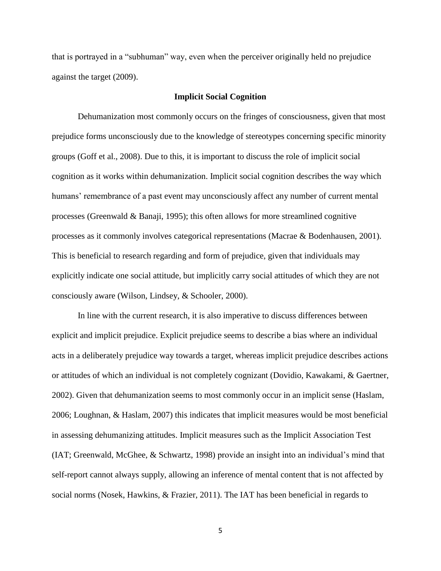that is portrayed in a "subhuman" way, even when the perceiver originally held no prejudice against the target (2009).

#### **Implicit Social Cognition**

<span id="page-9-0"></span>Dehumanization most commonly occurs on the fringes of consciousness, given that most prejudice forms unconsciously due to the knowledge of stereotypes concerning specific minority groups (Goff et al., 2008). Due to this, it is important to discuss the role of implicit social cognition as it works within dehumanization. Implicit social cognition describes the way which humans' remembrance of a past event may unconsciously affect any number of current mental processes (Greenwald & Banaji, 1995); this often allows for more streamlined cognitive processes as it commonly involves categorical representations (Macrae & Bodenhausen, 2001). This is beneficial to research regarding and form of prejudice, given that individuals may explicitly indicate one social attitude, but implicitly carry social attitudes of which they are not consciously aware (Wilson, Lindsey, & Schooler, 2000).

In line with the current research, it is also imperative to discuss differences between explicit and implicit prejudice. Explicit prejudice seems to describe a bias where an individual acts in a deliberately prejudice way towards a target, whereas implicit prejudice describes actions or attitudes of which an individual is not completely cognizant (Dovidio, Kawakami, & Gaertner, 2002). Given that dehumanization seems to most commonly occur in an implicit sense (Haslam, 2006; Loughnan, & Haslam, 2007) this indicates that implicit measures would be most beneficial in assessing dehumanizing attitudes. Implicit measures such as the Implicit Association Test (IAT; Greenwald, McGhee, & Schwartz, 1998) provide an insight into an individual's mind that self-report cannot always supply, allowing an inference of mental content that is not affected by social norms (Nosek, Hawkins, & Frazier, 2011). The IAT has been beneficial in regards to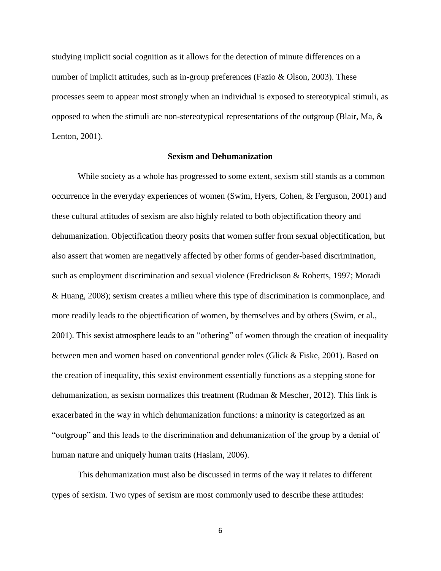studying implicit social cognition as it allows for the detection of minute differences on a number of implicit attitudes, such as in-group preferences (Fazio & Olson, 2003). These processes seem to appear most strongly when an individual is exposed to stereotypical stimuli, as opposed to when the stimuli are non-stereotypical representations of the outgroup (Blair, Ma, & Lenton, 2001).

#### **Sexism and Dehumanization**

<span id="page-10-0"></span>While society as a whole has progressed to some extent, sexism still stands as a common occurrence in the everyday experiences of women (Swim, Hyers, Cohen, & Ferguson, 2001) and these cultural attitudes of sexism are also highly related to both objectification theory and dehumanization. Objectification theory posits that women suffer from sexual objectification, but also assert that women are negatively affected by other forms of gender-based discrimination, such as employment discrimination and sexual violence (Fredrickson & Roberts, 1997; Moradi & Huang, 2008); sexism creates a milieu where this type of discrimination is commonplace, and more readily leads to the objectification of women, by themselves and by others (Swim, et al., 2001). This sexist atmosphere leads to an "othering" of women through the creation of inequality between men and women based on conventional gender roles (Glick & Fiske, 2001). Based on the creation of inequality, this sexist environment essentially functions as a stepping stone for dehumanization, as sexism normalizes this treatment (Rudman & Mescher, 2012). This link is exacerbated in the way in which dehumanization functions: a minority is categorized as an "outgroup" and this leads to the discrimination and dehumanization of the group by a denial of human nature and uniquely human traits (Haslam, 2006).

This dehumanization must also be discussed in terms of the way it relates to different types of sexism. Two types of sexism are most commonly used to describe these attitudes: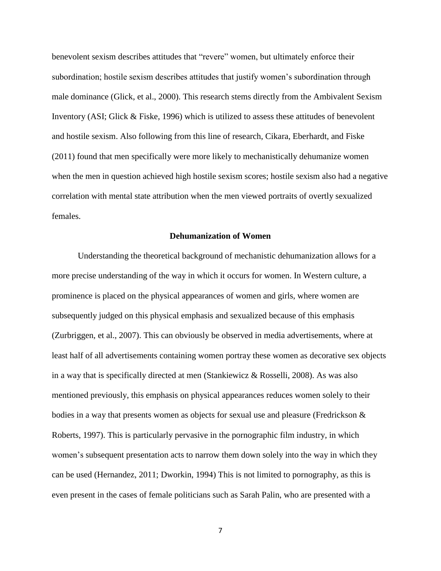benevolent sexism describes attitudes that "revere" women, but ultimately enforce their subordination; hostile sexism describes attitudes that justify women's subordination through male dominance (Glick, et al., 2000). This research stems directly from the Ambivalent Sexism Inventory (ASI; Glick & Fiske, 1996) which is utilized to assess these attitudes of benevolent and hostile sexism. Also following from this line of research, Cikara, Eberhardt, and Fiske (2011) found that men specifically were more likely to mechanistically dehumanize women when the men in question achieved high hostile sexism scores; hostile sexism also had a negative correlation with mental state attribution when the men viewed portraits of overtly sexualized females.

#### **Dehumanization of Women**

<span id="page-11-0"></span>Understanding the theoretical background of mechanistic dehumanization allows for a more precise understanding of the way in which it occurs for women. In Western culture, a prominence is placed on the physical appearances of women and girls, where women are subsequently judged on this physical emphasis and sexualized because of this emphasis (Zurbriggen, et al., 2007). This can obviously be observed in media advertisements, where at least half of all advertisements containing women portray these women as decorative sex objects in a way that is specifically directed at men (Stankiewicz & Rosselli, 2008). As was also mentioned previously, this emphasis on physical appearances reduces women solely to their bodies in a way that presents women as objects for sexual use and pleasure (Fredrickson & Roberts, 1997). This is particularly pervasive in the pornographic film industry, in which women's subsequent presentation acts to narrow them down solely into the way in which they can be used (Hernandez, 2011; Dworkin, 1994) This is not limited to pornography, as this is even present in the cases of female politicians such as Sarah Palin, who are presented with a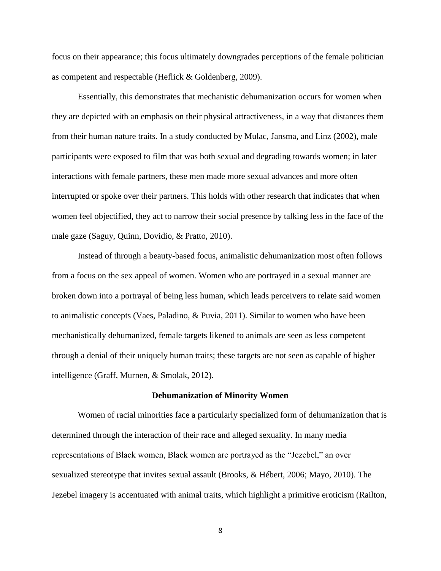focus on their appearance; this focus ultimately downgrades perceptions of the female politician as competent and respectable (Heflick & Goldenberg, 2009).

Essentially, this demonstrates that mechanistic dehumanization occurs for women when they are depicted with an emphasis on their physical attractiveness, in a way that distances them from their human nature traits. In a study conducted by Mulac, Jansma, and Linz (2002), male participants were exposed to film that was both sexual and degrading towards women; in later interactions with female partners, these men made more sexual advances and more often interrupted or spoke over their partners. This holds with other research that indicates that when women feel objectified, they act to narrow their social presence by talking less in the face of the male gaze (Saguy, Quinn, Dovidio, & Pratto, 2010).

Instead of through a beauty-based focus, animalistic dehumanization most often follows from a focus on the sex appeal of women. Women who are portrayed in a sexual manner are broken down into a portrayal of being less human, which leads perceivers to relate said women to animalistic concepts (Vaes, Paladino, & Puvia, 2011). Similar to women who have been mechanistically dehumanized, female targets likened to animals are seen as less competent through a denial of their uniquely human traits; these targets are not seen as capable of higher intelligence (Graff, Murnen, & Smolak, 2012).

#### **Dehumanization of Minority Women**

<span id="page-12-0"></span>Women of racial minorities face a particularly specialized form of dehumanization that is determined through the interaction of their race and alleged sexuality. In many media representations of Black women, Black women are portrayed as the "Jezebel," an over sexualized stereotype that invites sexual assault (Brooks, & Hébert, 2006; Mayo, 2010). The Jezebel imagery is accentuated with animal traits, which highlight a primitive eroticism (Railton,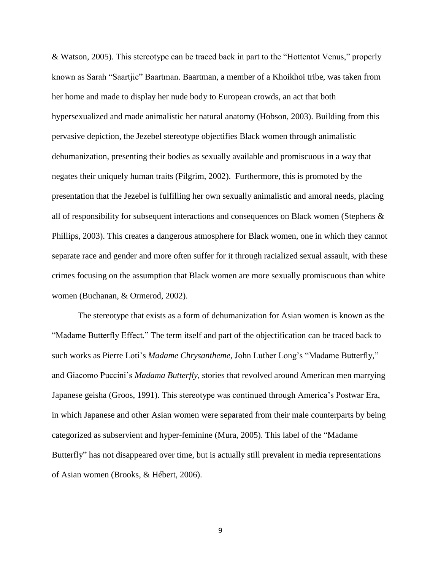& Watson, 2005). This stereotype can be traced back in part to the "Hottentot Venus," properly known as Sarah "Saartjie" Baartman. Baartman, a member of a Khoikhoi tribe, was taken from her home and made to display her nude body to European crowds, an act that both hypersexualized and made animalistic her natural anatomy (Hobson, 2003). Building from this pervasive depiction, the Jezebel stereotype objectifies Black women through animalistic dehumanization, presenting their bodies as sexually available and promiscuous in a way that negates their uniquely human traits (Pilgrim, 2002). Furthermore, this is promoted by the presentation that the Jezebel is fulfilling her own sexually animalistic and amoral needs, placing all of responsibility for subsequent interactions and consequences on Black women (Stephens & Phillips, 2003). This creates a dangerous atmosphere for Black women, one in which they cannot separate race and gender and more often suffer for it through racialized sexual assault, with these crimes focusing on the assumption that Black women are more sexually promiscuous than white women (Buchanan, & Ormerod, 2002).

The stereotype that exists as a form of dehumanization for Asian women is known as the "Madame Butterfly Effect." The term itself and part of the objectification can be traced back to such works as Pierre Loti's *Madame Chrysantheme,* John Luther Long's "Madame Butterfly," and Giacomo Puccini's *Madama Butterfly,* stories that revolved around American men marrying Japanese geisha (Groos, 1991). This stereotype was continued through America's Postwar Era, in which Japanese and other Asian women were separated from their male counterparts by being categorized as subservient and hyper-feminine (Mura, 2005). This label of the "Madame Butterfly" has not disappeared over time, but is actually still prevalent in media representations of Asian women (Brooks, & Hébert, 2006).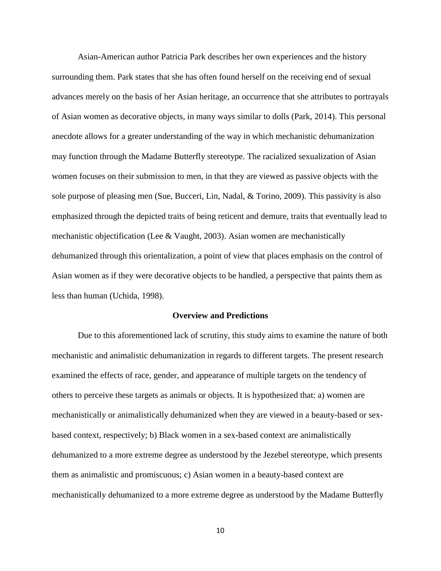Asian-American author Patricia Park describes her own experiences and the history surrounding them. Park states that she has often found herself on the receiving end of sexual advances merely on the basis of her Asian heritage, an occurrence that she attributes to portrayals of Asian women as decorative objects, in many ways similar to dolls (Park, 2014). This personal anecdote allows for a greater understanding of the way in which mechanistic dehumanization may function through the Madame Butterfly stereotype. The racialized sexualization of Asian women focuses on their submission to men, in that they are viewed as passive objects with the sole purpose of pleasing men (Sue, Bucceri, Lin, Nadal, & Torino, 2009). This passivity is also emphasized through the depicted traits of being reticent and demure, traits that eventually lead to mechanistic objectification (Lee & Vaught, 2003). Asian women are mechanistically dehumanized through this orientalization, a point of view that places emphasis on the control of Asian women as if they were decorative objects to be handled, a perspective that paints them as less than human (Uchida, 1998).

#### **Overview and Predictions**

<span id="page-14-0"></span>Due to this aforementioned lack of scrutiny, this study aims to examine the nature of both mechanistic and animalistic dehumanization in regards to different targets. The present research examined the effects of race, gender, and appearance of multiple targets on the tendency of others to perceive these targets as animals or objects. It is hypothesized that: a) women are mechanistically or animalistically dehumanized when they are viewed in a beauty-based or sexbased context, respectively; b) Black women in a sex-based context are animalistically dehumanized to a more extreme degree as understood by the Jezebel stereotype, which presents them as animalistic and promiscuous; c) Asian women in a beauty-based context are mechanistically dehumanized to a more extreme degree as understood by the Madame Butterfly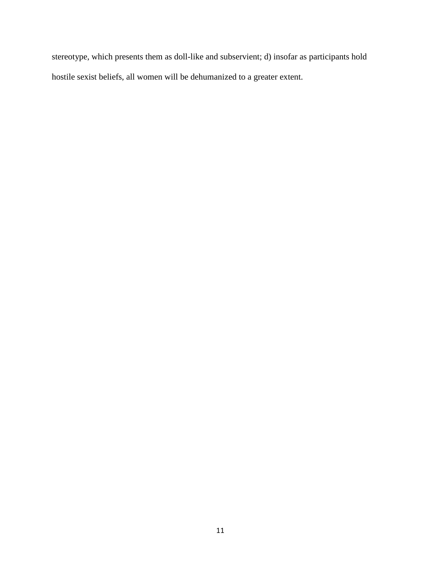stereotype, which presents them as doll-like and subservient; d) insofar as participants hold hostile sexist beliefs, all women will be dehumanized to a greater extent.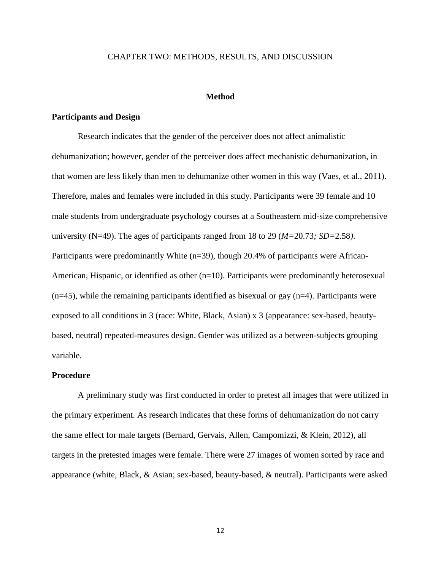#### <span id="page-16-0"></span>CHAPTER TWO: METHODS, RESULTS, AND DISCUSSION

#### **Method**

#### <span id="page-16-2"></span><span id="page-16-1"></span>**Participants and Design**

Research indicates that the gender of the perceiver does not affect animalistic dehumanization; however, gender of the perceiver does affect mechanistic dehumanization, in that women are less likely than men to dehumanize other women in this way (Vaes, et al., 2011). Therefore, males and females were included in this study. Participants were 39 female and 10 male students from undergraduate psychology courses at a Southeastern mid-size comprehensive university (N=49). The ages of participants ranged from 18 to 29 (*M=*20.73*; SD=*2.58*)*. Participants were predominantly White (n=39), though 20.4% of participants were African-American, Hispanic, or identified as other  $(n=10)$ . Participants were predominantly heterosexual  $(n=45)$ , while the remaining participants identified as bisexual or gay  $(n=4)$ . Participants were exposed to all conditions in 3 (race: White, Black, Asian) x 3 (appearance: sex-based, beautybased, neutral) repeated-measures design. Gender was utilized as a between-subjects grouping variable.

#### <span id="page-16-3"></span>**Procedure**

A preliminary study was first conducted in order to pretest all images that were utilized in the primary experiment. As research indicates that these forms of dehumanization do not carry the same effect for male targets (Bernard, Gervais, Allen, Campomizzi, & Klein, 2012), all targets in the pretested images were female. There were 27 images of women sorted by race and appearance (white, Black, & Asian; sex-based, beauty-based, & neutral). Participants were asked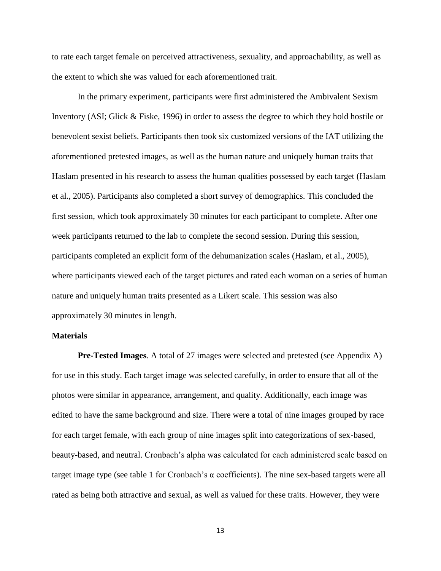to rate each target female on perceived attractiveness, sexuality, and approachability, as well as the extent to which she was valued for each aforementioned trait.

In the primary experiment, participants were first administered the Ambivalent Sexism Inventory (ASI; Glick & Fiske, 1996) in order to assess the degree to which they hold hostile or benevolent sexist beliefs. Participants then took six customized versions of the IAT utilizing the aforementioned pretested images, as well as the human nature and uniquely human traits that Haslam presented in his research to assess the human qualities possessed by each target (Haslam et al., 2005). Participants also completed a short survey of demographics. This concluded the first session, which took approximately 30 minutes for each participant to complete. After one week participants returned to the lab to complete the second session. During this session, participants completed an explicit form of the dehumanization scales (Haslam, et al., 2005), where participants viewed each of the target pictures and rated each woman on a series of human nature and uniquely human traits presented as a Likert scale. This session was also approximately 30 minutes in length.

#### <span id="page-17-0"></span>**Materials**

<span id="page-17-1"></span>**Pre-Tested Images***.* A total of 27 images were selected and pretested (see Appendix A) for use in this study. Each target image was selected carefully, in order to ensure that all of the photos were similar in appearance, arrangement, and quality. Additionally, each image was edited to have the same background and size. There were a total of nine images grouped by race for each target female, with each group of nine images split into categorizations of sex-based, beauty-based, and neutral. Cronbach's alpha was calculated for each administered scale based on target image type (see table 1 for Cronbach's α coefficients). The nine sex-based targets were all rated as being both attractive and sexual, as well as valued for these traits. However, they were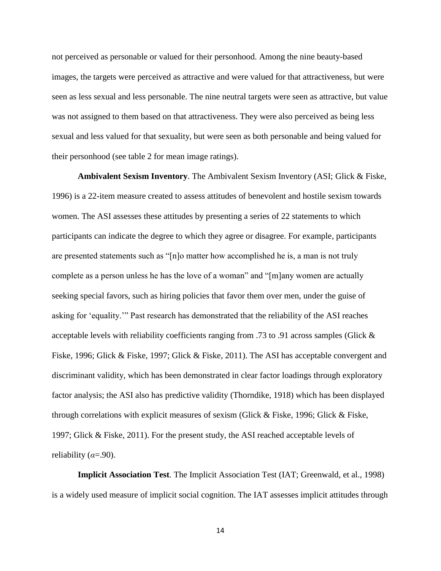not perceived as personable or valued for their personhood. Among the nine beauty-based images, the targets were perceived as attractive and were valued for that attractiveness, but were seen as less sexual and less personable. The nine neutral targets were seen as attractive, but value was not assigned to them based on that attractiveness. They were also perceived as being less sexual and less valued for that sexuality, but were seen as both personable and being valued for their personhood (see table 2 for mean image ratings).

<span id="page-18-0"></span>**Ambivalent Sexism Inventory***.* The Ambivalent Sexism Inventory (ASI; Glick & Fiske, 1996) is a 22-item measure created to assess attitudes of benevolent and hostile sexism towards women. The ASI assesses these attitudes by presenting a series of 22 statements to which participants can indicate the degree to which they agree or disagree. For example, participants are presented statements such as "[n]o matter how accomplished he is, a man is not truly complete as a person unless he has the love of a woman" and "[m]any women are actually seeking special favors, such as hiring policies that favor them over men, under the guise of asking for 'equality.'" Past research has demonstrated that the reliability of the ASI reaches acceptable levels with reliability coefficients ranging from .73 to .91 across samples (Glick & Fiske, 1996; Glick & Fiske, 1997; Glick & Fiske, 2011). The ASI has acceptable convergent and discriminant validity, which has been demonstrated in clear factor loadings through exploratory factor analysis; the ASI also has predictive validity (Thorndike, 1918) which has been displayed through correlations with explicit measures of sexism (Glick & Fiske, 1996; Glick & Fiske, 1997; Glick & Fiske, 2011). For the present study, the ASI reached acceptable levels of reliability  $(a=90)$ .

<span id="page-18-1"></span>**Implicit Association Test***.* The Implicit Association Test (IAT; Greenwald, et al., 1998) is a widely used measure of implicit social cognition. The IAT assesses implicit attitudes through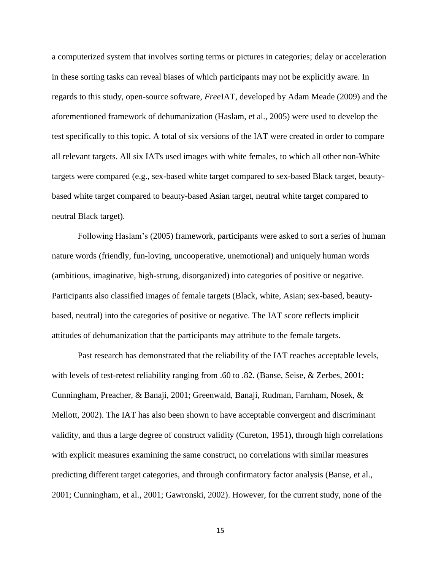a computerized system that involves sorting terms or pictures in categories; delay or acceleration in these sorting tasks can reveal biases of which participants may not be explicitly aware. In regards to this study, open-source software, *Free*IAT, developed by Adam Meade (2009) and the aforementioned framework of dehumanization (Haslam, et al., 2005) were used to develop the test specifically to this topic. A total of six versions of the IAT were created in order to compare all relevant targets. All six IATs used images with white females, to which all other non-White targets were compared (e.g., sex-based white target compared to sex-based Black target, beautybased white target compared to beauty-based Asian target, neutral white target compared to neutral Black target).

Following Haslam's (2005) framework, participants were asked to sort a series of human nature words (friendly, fun-loving, uncooperative, unemotional) and uniquely human words (ambitious, imaginative, high-strung, disorganized) into categories of positive or negative. Participants also classified images of female targets (Black, white, Asian; sex-based, beautybased, neutral) into the categories of positive or negative. The IAT score reflects implicit attitudes of dehumanization that the participants may attribute to the female targets.

Past research has demonstrated that the reliability of the IAT reaches acceptable levels, with levels of test-retest reliability ranging from .60 to .82. (Banse, Seise, & Zerbes, 2001; Cunningham, Preacher, & Banaji, 2001; Greenwald, Banaji, Rudman, Farnham, Nosek, & Mellott, 2002). The IAT has also been shown to have acceptable convergent and discriminant validity, and thus a large degree of construct validity (Cureton, 1951), through high correlations with explicit measures examining the same construct, no correlations with similar measures predicting different target categories, and through confirmatory factor analysis (Banse, et al., 2001; Cunningham, et al., 2001; Gawronski, 2002). However, for the current study, none of the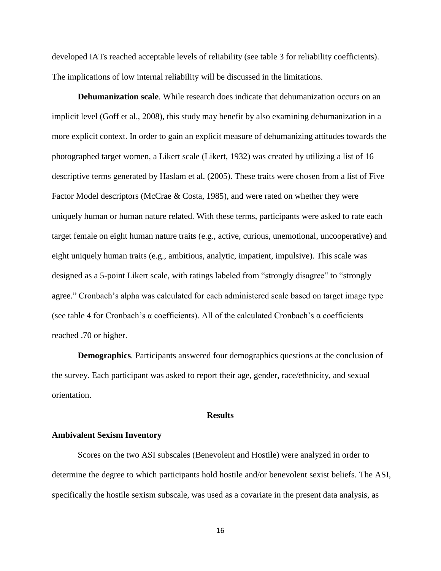developed IATs reached acceptable levels of reliability (see table 3 for reliability coefficients). The implications of low internal reliability will be discussed in the limitations.

<span id="page-20-0"></span>**Dehumanization scale***.* While research does indicate that dehumanization occurs on an implicit level (Goff et al., 2008), this study may benefit by also examining dehumanization in a more explicit context. In order to gain an explicit measure of dehumanizing attitudes towards the photographed target women, a Likert scale (Likert, 1932) was created by utilizing a list of 16 descriptive terms generated by Haslam et al. (2005). These traits were chosen from a list of Five Factor Model descriptors (McCrae & Costa, 1985), and were rated on whether they were uniquely human or human nature related. With these terms, participants were asked to rate each target female on eight human nature traits (e.g., active, curious, unemotional, uncooperative) and eight uniquely human traits (e.g., ambitious, analytic, impatient, impulsive). This scale was designed as a 5-point Likert scale, with ratings labeled from "strongly disagree" to "strongly agree." Cronbach's alpha was calculated for each administered scale based on target image type (see table 4 for Cronbach's  $\alpha$  coefficients). All of the calculated Cronbach's  $\alpha$  coefficients reached .70 or higher.

<span id="page-20-1"></span>**Demographics***.* Participants answered four demographics questions at the conclusion of the survey. Each participant was asked to report their age, gender, race/ethnicity, and sexual orientation.

#### **Results**

#### <span id="page-20-3"></span><span id="page-20-2"></span>**Ambivalent Sexism Inventory**

Scores on the two ASI subscales (Benevolent and Hostile) were analyzed in order to determine the degree to which participants hold hostile and/or benevolent sexist beliefs. The ASI, specifically the hostile sexism subscale, was used as a covariate in the present data analysis, as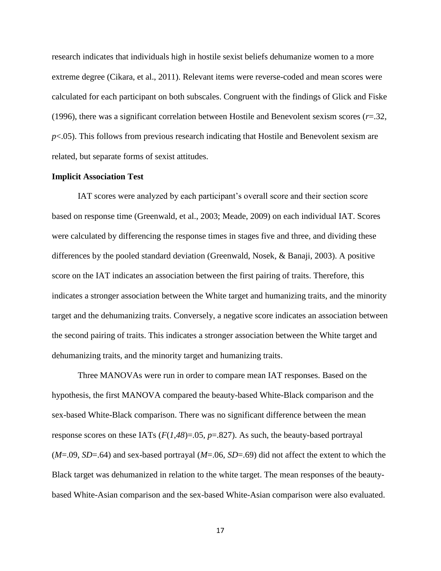research indicates that individuals high in hostile sexist beliefs dehumanize women to a more extreme degree (Cikara, et al., 2011). Relevant items were reverse-coded and mean scores were calculated for each participant on both subscales. Congruent with the findings of Glick and Fiske (1996), there was a significant correlation between Hostile and Benevolent sexism scores (*r*=.32, *p*<.05). This follows from previous research indicating that Hostile and Benevolent sexism are related, but separate forms of sexist attitudes.

#### <span id="page-21-0"></span>**Implicit Association Test**

IAT scores were analyzed by each participant's overall score and their section score based on response time (Greenwald, et al., 2003; Meade, 2009) on each individual IAT. Scores were calculated by differencing the response times in stages five and three, and dividing these differences by the pooled standard deviation (Greenwald, Nosek, & Banaji, 2003). A positive score on the IAT indicates an association between the first pairing of traits. Therefore, this indicates a stronger association between the White target and humanizing traits, and the minority target and the dehumanizing traits. Conversely, a negative score indicates an association between the second pairing of traits. This indicates a stronger association between the White target and dehumanizing traits, and the minority target and humanizing traits.

Three MANOVAs were run in order to compare mean IAT responses. Based on the hypothesis, the first MANOVA compared the beauty-based White-Black comparison and the sex-based White-Black comparison. There was no significant difference between the mean response scores on these IATs (*F*(*1,48*)=.05, *p*=.827). As such, the beauty-based portrayal (*M*=.09, *SD*=.64) and sex-based portrayal (*M*=.06, *SD*=.69) did not affect the extent to which the Black target was dehumanized in relation to the white target. The mean responses of the beautybased White-Asian comparison and the sex-based White-Asian comparison were also evaluated.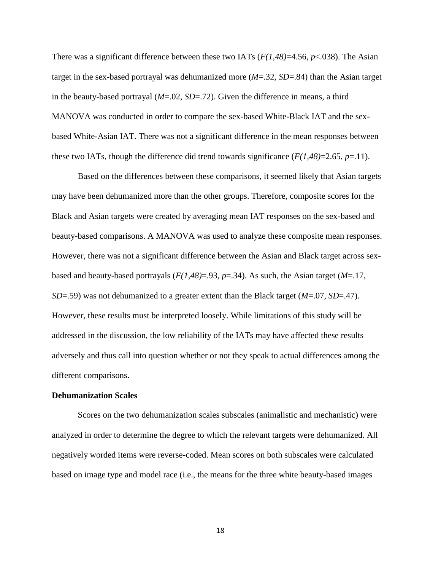There was a significant difference between these two IATs (*F(1,48)*=4.56, *p*<.038). The Asian target in the sex-based portrayal was dehumanized more (*M*=.32, *SD*=.84) than the Asian target in the beauty-based portrayal (*M*=.02, *SD*=.72). Given the difference in means, a third MANOVA was conducted in order to compare the sex-based White-Black IAT and the sexbased White-Asian IAT. There was not a significant difference in the mean responses between these two IATs, though the difference did trend towards significance  $(F(1,48)=2.65, p=11)$ .

Based on the differences between these comparisons, it seemed likely that Asian targets may have been dehumanized more than the other groups. Therefore, composite scores for the Black and Asian targets were created by averaging mean IAT responses on the sex-based and beauty-based comparisons. A MANOVA was used to analyze these composite mean responses. However, there was not a significant difference between the Asian and Black target across sexbased and beauty-based portrayals (*F(1,48)*=.93, *p*=.34). As such, the Asian target (*M*=.17, *SD*=.59) was not dehumanized to a greater extent than the Black target (*M*=.07, *SD*=.47). However, these results must be interpreted loosely. While limitations of this study will be addressed in the discussion, the low reliability of the IATs may have affected these results adversely and thus call into question whether or not they speak to actual differences among the different comparisons.

#### <span id="page-22-0"></span>**Dehumanization Scales**

Scores on the two dehumanization scales subscales (animalistic and mechanistic) were analyzed in order to determine the degree to which the relevant targets were dehumanized. All negatively worded items were reverse-coded. Mean scores on both subscales were calculated based on image type and model race (i.e., the means for the three white beauty-based images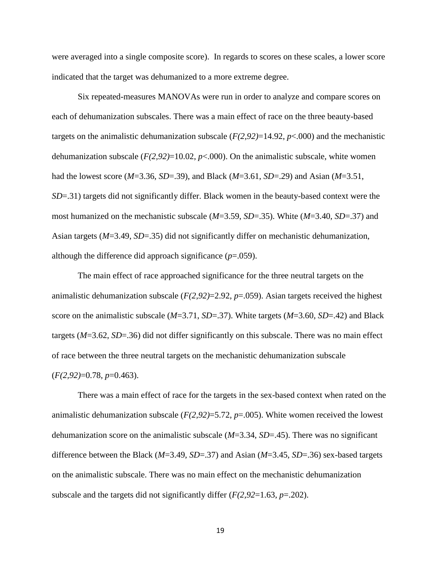were averaged into a single composite score). In regards to scores on these scales, a lower score indicated that the target was dehumanized to a more extreme degree.

Six repeated-measures MANOVAs were run in order to analyze and compare scores on each of dehumanization subscales. There was a main effect of race on the three beauty-based targets on the animalistic dehumanization subscale (*F(2,92)*=14.92, *p*<.000) and the mechanistic dehumanization subscale  $(F(2,92)=10.02, p<0.00)$ . On the animalistic subscale, white women had the lowest score (*M*=3.36, *SD*=.39), and Black (*M*=3.61, *SD*=.29) and Asian (*M*=3.51, *SD*=.31) targets did not significantly differ. Black women in the beauty-based context were the most humanized on the mechanistic subscale (*M*=3.59, *SD*=.35). White (*M*=3.40, *SD*=.37) and Asian targets (*M*=3.49, *SD*=.35) did not significantly differ on mechanistic dehumanization, although the difference did approach significance  $(p=.059)$ .

The main effect of race approached significance for the three neutral targets on the animalistic dehumanization subscale (*F(2,92)*=2.92, *p*=.059). Asian targets received the highest score on the animalistic subscale (*M*=3.71, *SD*=.37). White targets (*M*=3.60, *SD*=.42) and Black targets (*M*=3.62, *SD*=.36) did not differ significantly on this subscale. There was no main effect of race between the three neutral targets on the mechanistic dehumanization subscale (*F(2,92)*=0.78, *p*=0.463).

There was a main effect of race for the targets in the sex-based context when rated on the animalistic dehumanization subscale (*F(2,92)*=5.72, *p*=.005). White women received the lowest dehumanization score on the animalistic subscale (*M*=3.34, *SD*=.45). There was no significant difference between the Black (*M*=3.49, *SD*=.37) and Asian (*M*=3.45, *SD*=.36) sex-based targets on the animalistic subscale. There was no main effect on the mechanistic dehumanization subscale and the targets did not significantly differ (*F(2,92*=1.63, *p*=.202).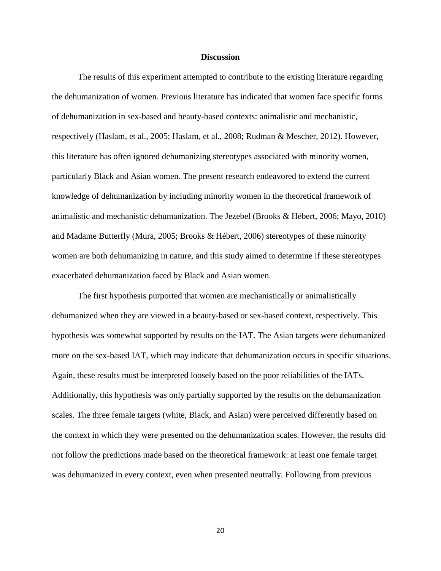#### **Discussion**

<span id="page-24-0"></span>The results of this experiment attempted to contribute to the existing literature regarding the dehumanization of women. Previous literature has indicated that women face specific forms of dehumanization in sex-based and beauty-based contexts: animalistic and mechanistic, respectively (Haslam, et al., 2005; Haslam, et al., 2008; Rudman & Mescher, 2012). However, this literature has often ignored dehumanizing stereotypes associated with minority women, particularly Black and Asian women. The present research endeavored to extend the current knowledge of dehumanization by including minority women in the theoretical framework of animalistic and mechanistic dehumanization. The Jezebel (Brooks & Hébert, 2006; Mayo, 2010) and Madame Butterfly (Mura, 2005; Brooks & Hébert, 2006) stereotypes of these minority women are both dehumanizing in nature, and this study aimed to determine if these stereotypes exacerbated dehumanization faced by Black and Asian women.

The first hypothesis purported that women are mechanistically or animalistically dehumanized when they are viewed in a beauty-based or sex-based context, respectively. This hypothesis was somewhat supported by results on the IAT. The Asian targets were dehumanized more on the sex-based IAT, which may indicate that dehumanization occurs in specific situations. Again, these results must be interpreted loosely based on the poor reliabilities of the IATs. Additionally, this hypothesis was only partially supported by the results on the dehumanization scales. The three female targets (white, Black, and Asian) were perceived differently based on the context in which they were presented on the dehumanization scales. However, the results did not follow the predictions made based on the theoretical framework: at least one female target was dehumanized in every context, even when presented neutrally. Following from previous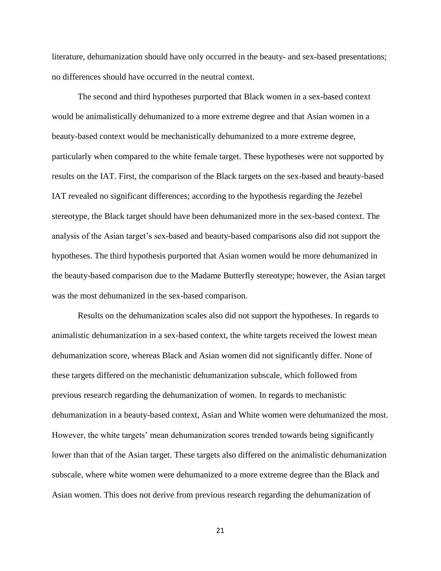literature, dehumanization should have only occurred in the beauty- and sex-based presentations; no differences should have occurred in the neutral context.

The second and third hypotheses purported that Black women in a sex-based context would be animalistically dehumanized to a more extreme degree and that Asian women in a beauty-based context would be mechanistically dehumanized to a more extreme degree, particularly when compared to the white female target. These hypotheses were not supported by results on the IAT. First, the comparison of the Black targets on the sex-based and beauty-based IAT revealed no significant differences; according to the hypothesis regarding the Jezebel stereotype, the Black target should have been dehumanized more in the sex-based context. The analysis of the Asian target's sex-based and beauty-based comparisons also did not support the hypotheses. The third hypothesis purported that Asian women would be more dehumanized in the beauty-based comparison due to the Madame Butterfly stereotype; however, the Asian target was the most dehumanized in the sex-based comparison.

Results on the dehumanization scales also did not support the hypotheses. In regards to animalistic dehumanization in a sex-based context, the white targets received the lowest mean dehumanization score, whereas Black and Asian women did not significantly differ. None of these targets differed on the mechanistic dehumanization subscale, which followed from previous research regarding the dehumanization of women. In regards to mechanistic dehumanization in a beauty-based context, Asian and White women were dehumanized the most. However, the white targets' mean dehumanization scores trended towards being significantly lower than that of the Asian target. These targets also differed on the animalistic dehumanization subscale, where white women were dehumanized to a more extreme degree than the Black and Asian women. This does not derive from previous research regarding the dehumanization of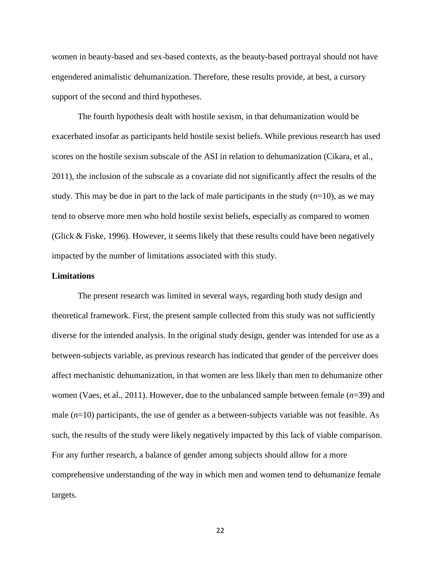women in beauty-based and sex-based contexts, as the beauty-based portrayal should not have engendered animalistic dehumanization. Therefore, these results provide, at best, a cursory support of the second and third hypotheses.

The fourth hypothesis dealt with hostile sexism, in that dehumanization would be exacerbated insofar as participants held hostile sexist beliefs. While previous research has used scores on the hostile sexism subscale of the ASI in relation to dehumanization (Cikara, et al., 2011), the inclusion of the subscale as a covariate did not significantly affect the results of the study. This may be due in part to the lack of male participants in the study (*n*=10), as we may tend to observe more men who hold hostile sexist beliefs, especially as compared to women (Glick & Fiske, 1996). However, it seems likely that these results could have been negatively impacted by the number of limitations associated with this study.

#### <span id="page-26-0"></span>**Limitations**

The present research was limited in several ways, regarding both study design and theoretical framework. First, the present sample collected from this study was not sufficiently diverse for the intended analysis. In the original study design, gender was intended for use as a between-subjects variable, as previous research has indicated that gender of the perceiver does affect mechanistic dehumanization, in that women are less likely than men to dehumanize other women (Vaes, et al., 2011). However, due to the unbalanced sample between female (*n*=39) and male  $(n=10)$  participants, the use of gender as a between-subjects variable was not feasible. As such, the results of the study were likely negatively impacted by this lack of viable comparison. For any further research, a balance of gender among subjects should allow for a more comprehensive understanding of the way in which men and women tend to dehumanize female targets.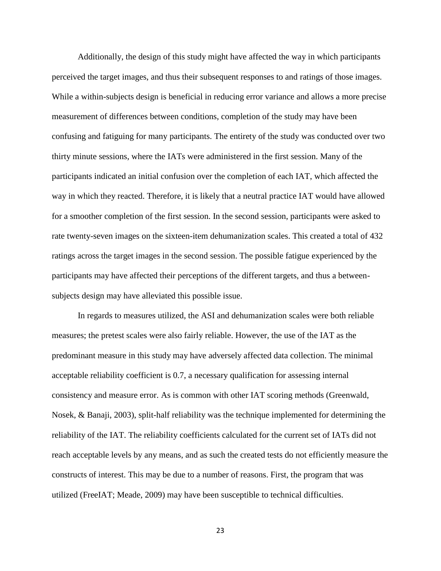Additionally, the design of this study might have affected the way in which participants perceived the target images, and thus their subsequent responses to and ratings of those images. While a within-subjects design is beneficial in reducing error variance and allows a more precise measurement of differences between conditions, completion of the study may have been confusing and fatiguing for many participants. The entirety of the study was conducted over two thirty minute sessions, where the IATs were administered in the first session. Many of the participants indicated an initial confusion over the completion of each IAT, which affected the way in which they reacted. Therefore, it is likely that a neutral practice IAT would have allowed for a smoother completion of the first session. In the second session, participants were asked to rate twenty-seven images on the sixteen-item dehumanization scales. This created a total of 432 ratings across the target images in the second session. The possible fatigue experienced by the participants may have affected their perceptions of the different targets, and thus a betweensubjects design may have alleviated this possible issue.

In regards to measures utilized, the ASI and dehumanization scales were both reliable measures; the pretest scales were also fairly reliable. However, the use of the IAT as the predominant measure in this study may have adversely affected data collection. The minimal acceptable reliability coefficient is 0.7, a necessary qualification for assessing internal consistency and measure error. As is common with other IAT scoring methods (Greenwald, Nosek, & Banaji, 2003), split-half reliability was the technique implemented for determining the reliability of the IAT. The reliability coefficients calculated for the current set of IATs did not reach acceptable levels by any means, and as such the created tests do not efficiently measure the constructs of interest. This may be due to a number of reasons. First, the program that was utilized (FreeIAT; Meade, 2009) may have been susceptible to technical difficulties.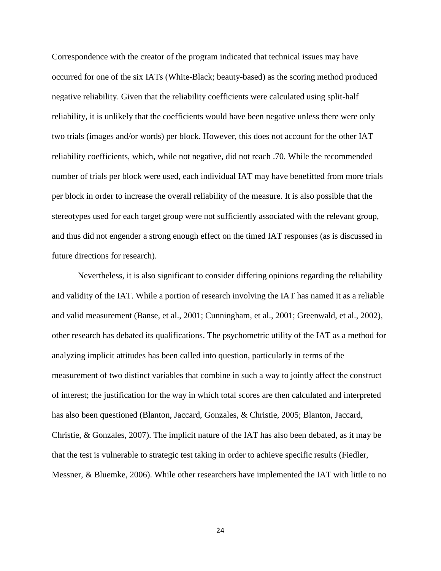Correspondence with the creator of the program indicated that technical issues may have occurred for one of the six IATs (White-Black; beauty-based) as the scoring method produced negative reliability. Given that the reliability coefficients were calculated using split-half reliability, it is unlikely that the coefficients would have been negative unless there were only two trials (images and/or words) per block. However, this does not account for the other IAT reliability coefficients, which, while not negative, did not reach .70. While the recommended number of trials per block were used, each individual IAT may have benefitted from more trials per block in order to increase the overall reliability of the measure. It is also possible that the stereotypes used for each target group were not sufficiently associated with the relevant group, and thus did not engender a strong enough effect on the timed IAT responses (as is discussed in future directions for research).

Nevertheless, it is also significant to consider differing opinions regarding the reliability and validity of the IAT. While a portion of research involving the IAT has named it as a reliable and valid measurement (Banse, et al., 2001; Cunningham, et al., 2001; Greenwald, et al., 2002), other research has debated its qualifications. The psychometric utility of the IAT as a method for analyzing implicit attitudes has been called into question, particularly in terms of the measurement of two distinct variables that combine in such a way to jointly affect the construct of interest; the justification for the way in which total scores are then calculated and interpreted has also been questioned (Blanton, Jaccard, Gonzales, & Christie, 2005; Blanton, Jaccard, Christie, & Gonzales, 2007). The implicit nature of the IAT has also been debated, as it may be that the test is vulnerable to strategic test taking in order to achieve specific results (Fiedler, Messner, & Bluemke, 2006). While other researchers have implemented the IAT with little to no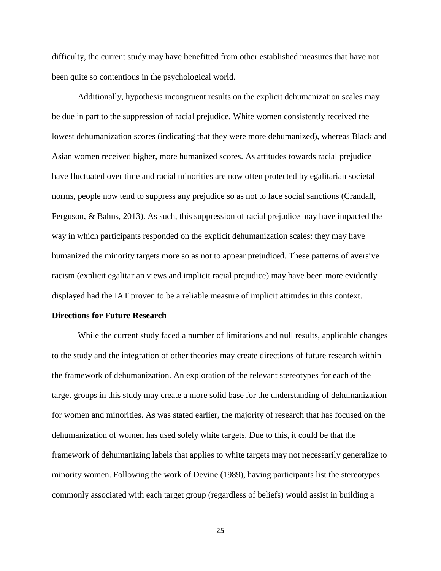difficulty, the current study may have benefitted from other established measures that have not been quite so contentious in the psychological world.

Additionally, hypothesis incongruent results on the explicit dehumanization scales may be due in part to the suppression of racial prejudice. White women consistently received the lowest dehumanization scores (indicating that they were more dehumanized), whereas Black and Asian women received higher, more humanized scores. As attitudes towards racial prejudice have fluctuated over time and racial minorities are now often protected by egalitarian societal norms, people now tend to suppress any prejudice so as not to face social sanctions (Crandall, Ferguson, & Bahns, 2013). As such, this suppression of racial prejudice may have impacted the way in which participants responded on the explicit dehumanization scales: they may have humanized the minority targets more so as not to appear prejudiced. These patterns of aversive racism (explicit egalitarian views and implicit racial prejudice) may have been more evidently displayed had the IAT proven to be a reliable measure of implicit attitudes in this context.

#### <span id="page-29-0"></span>**Directions for Future Research**

While the current study faced a number of limitations and null results, applicable changes to the study and the integration of other theories may create directions of future research within the framework of dehumanization. An exploration of the relevant stereotypes for each of the target groups in this study may create a more solid base for the understanding of dehumanization for women and minorities. As was stated earlier, the majority of research that has focused on the dehumanization of women has used solely white targets. Due to this, it could be that the framework of dehumanizing labels that applies to white targets may not necessarily generalize to minority women. Following the work of Devine (1989), having participants list the stereotypes commonly associated with each target group (regardless of beliefs) would assist in building a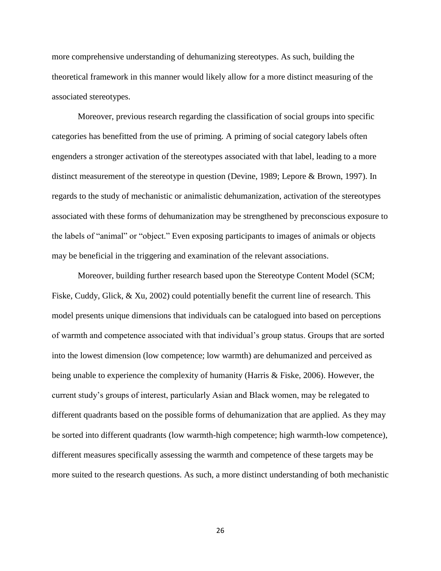more comprehensive understanding of dehumanizing stereotypes. As such, building the theoretical framework in this manner would likely allow for a more distinct measuring of the associated stereotypes.

Moreover, previous research regarding the classification of social groups into specific categories has benefitted from the use of priming. A priming of social category labels often engenders a stronger activation of the stereotypes associated with that label, leading to a more distinct measurement of the stereotype in question (Devine, 1989; Lepore & Brown, 1997). In regards to the study of mechanistic or animalistic dehumanization, activation of the stereotypes associated with these forms of dehumanization may be strengthened by preconscious exposure to the labels of "animal" or "object." Even exposing participants to images of animals or objects may be beneficial in the triggering and examination of the relevant associations.

Moreover, building further research based upon the Stereotype Content Model (SCM; Fiske, Cuddy, Glick, & Xu, 2002) could potentially benefit the current line of research. This model presents unique dimensions that individuals can be catalogued into based on perceptions of warmth and competence associated with that individual's group status. Groups that are sorted into the lowest dimension (low competence; low warmth) are dehumanized and perceived as being unable to experience the complexity of humanity (Harris & Fiske, 2006). However, the current study's groups of interest, particularly Asian and Black women, may be relegated to different quadrants based on the possible forms of dehumanization that are applied. As they may be sorted into different quadrants (low warmth-high competence; high warmth-low competence), different measures specifically assessing the warmth and competence of these targets may be more suited to the research questions. As such, a more distinct understanding of both mechanistic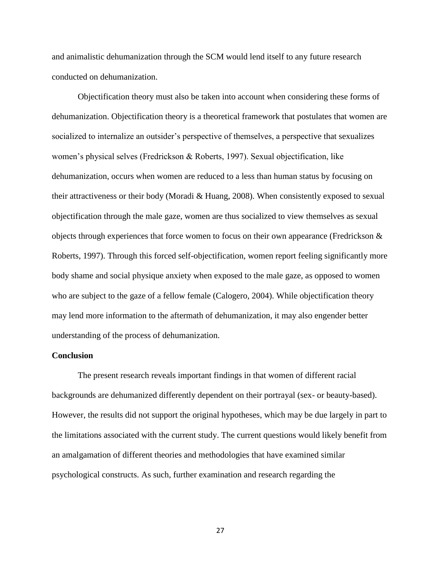and animalistic dehumanization through the SCM would lend itself to any future research conducted on dehumanization.

Objectification theory must also be taken into account when considering these forms of dehumanization. Objectification theory is a theoretical framework that postulates that women are socialized to internalize an outsider's perspective of themselves, a perspective that sexualizes women's physical selves (Fredrickson & Roberts, 1997). Sexual objectification, like dehumanization, occurs when women are reduced to a less than human status by focusing on their attractiveness or their body (Moradi & Huang, 2008). When consistently exposed to sexual objectification through the male gaze, women are thus socialized to view themselves as sexual objects through experiences that force women to focus on their own appearance (Fredrickson & Roberts, 1997). Through this forced self-objectification, women report feeling significantly more body shame and social physique anxiety when exposed to the male gaze, as opposed to women who are subject to the gaze of a fellow female (Calogero, 2004). While objectification theory may lend more information to the aftermath of dehumanization, it may also engender better understanding of the process of dehumanization.

#### <span id="page-31-0"></span>**Conclusion**

The present research reveals important findings in that women of different racial backgrounds are dehumanized differently dependent on their portrayal (sex- or beauty-based). However, the results did not support the original hypotheses, which may be due largely in part to the limitations associated with the current study. The current questions would likely benefit from an amalgamation of different theories and methodologies that have examined similar psychological constructs. As such, further examination and research regarding the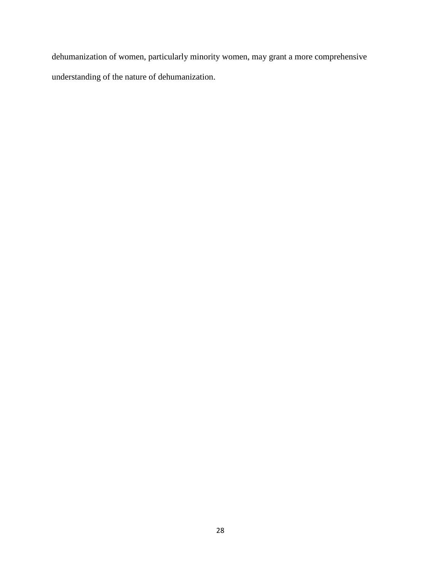dehumanization of women, particularly minority women, may grant a more comprehensive understanding of the nature of dehumanization.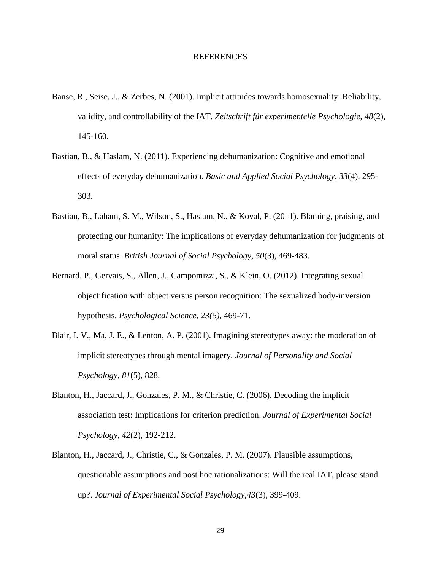#### REFERENCES

- <span id="page-33-0"></span>Banse, R., Seise, J., & Zerbes, N. (2001). Implicit attitudes towards homosexuality: Reliability, validity, and controllability of the IAT. *Zeitschrift für experimentelle Psychologie, 48*(2), 145-160.
- Bastian, B., & Haslam, N. (2011). Experiencing dehumanization: Cognitive and emotional effects of everyday dehumanization. *Basic and Applied Social Psychology, 33*(4), 295- 303.
- Bastian, B., Laham, S. M., Wilson, S., Haslam, N., & Koval, P. (2011). Blaming, praising, and protecting our humanity: The implications of everyday dehumanization for judgments of moral status. *British Journal of Social Psychology, 50*(3), 469-483.
- Bernard, P., Gervais, S., Allen, J., Campomizzi, S., & Klein, O. (2012). Integrating sexual objectification with object versus person recognition: The sexualized body-inversion hypothesis. *Psychological Science, 23(*5*),* 469-71.
- Blair, I. V., Ma, J. E., & Lenton, A. P. (2001). Imagining stereotypes away: the moderation of implicit stereotypes through mental imagery. *Journal of Personality and Social Psychology, 81*(5), 828.
- Blanton, H., Jaccard, J., Gonzales, P. M., & Christie, C. (2006). Decoding the implicit association test: Implications for criterion prediction. *Journal of Experimental Social Psychology*, *42*(2), 192-212.
- Blanton, H., Jaccard, J., Christie, C., & Gonzales, P. M. (2007). Plausible assumptions, questionable assumptions and post hoc rationalizations: Will the real IAT, please stand up?. *Journal of Experimental Social Psychology*,*43*(3), 399-409.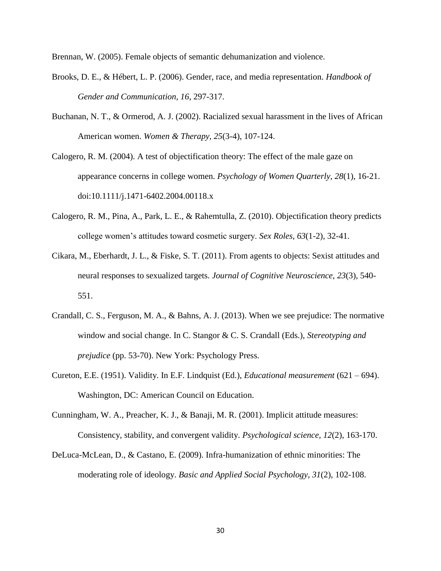Brennan, W. (2005). Female objects of semantic dehumanization and violence.

- Brooks, D. E., & Hébert, L. P. (2006). Gender, race, and media representation. *Handbook of Gender and Communication, 16*, 297-317.
- Buchanan, N. T., & Ormerod, A. J. (2002). Racialized sexual harassment in the lives of African American women. *Women & Therapy, 25*(3-4), 107-124.
- Calogero, R. M. (2004). A test of objectification theory: The effect of the male gaze on appearance concerns in college women. *Psychology of Women Quarterly, 28*(1), 16-21. doi:10.1111/j.1471-6402.2004.00118.x
- Calogero, R. M., Pina, A., Park, L. E., & Rahemtulla, Z. (2010). Objectification theory predicts college women's attitudes toward cosmetic surgery. *Sex Roles, 63*(1-2), 32-41.
- Cikara, M., Eberhardt, J. L., & Fiske, S. T. (2011). From agents to objects: Sexist attitudes and neural responses to sexualized targets. *Journal of Cognitive Neuroscience, 23*(3), 540- 551.
- Crandall, C. S., Ferguson, M. A., & Bahns, A. J. (2013). When we see prejudice: The normative window and social change. In C. Stangor & C. S. Crandall (Eds.), *Stereotyping and prejudice* (pp. 53-70). New York: Psychology Press.
- Cureton, E.E. (1951). Validity. In E.F. Lindquist (Ed.), *Educational measurement* (621 694). Washington, DC: American Council on Education.
- Cunningham, W. A., Preacher, K. J., & Banaji, M. R. (2001). Implicit attitude measures: Consistency, stability, and convergent validity. *Psychological science, 12*(2), 163-170.
- DeLuca-McLean, D., & Castano, E. (2009). Infra-humanization of ethnic minorities: The moderating role of ideology. *Basic and Applied Social Psychology*, *31*(2), 102-108.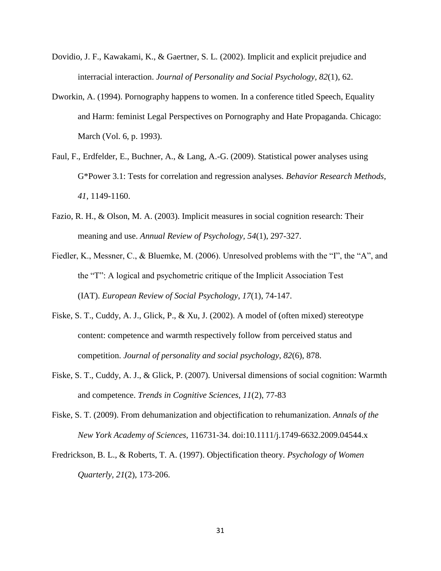- Dovidio, J. F., Kawakami, K., & Gaertner, S. L. (2002). Implicit and explicit prejudice and interracial interaction. *Journal of Personality and Social Psychology, 82*(1), 62.
- Dworkin, A. (1994). Pornography happens to women. In a conference titled Speech, Equality and Harm: feminist Legal Perspectives on Pornography and Hate Propaganda. Chicago: March (Vol. 6, p. 1993).
- Faul, F., Erdfelder, E., Buchner, A., & Lang, A.-G. (2009). Statistical power analyses using G\*Power 3.1: Tests for correlation and regression analyses. *Behavior Research Methods, 41*, 1149-1160.
- Fazio, R. H., & Olson, M. A. (2003). Implicit measures in social cognition research: Their meaning and use. *Annual Review of Psychology, 54*(1), 297-327.
- Fiedler, K., Messner, C., & Bluemke, M. (2006). Unresolved problems with the "I", the "A", and the "T": A logical and psychometric critique of the Implicit Association Test (IAT). *European Review of Social Psychology*, *17*(1), 74-147.
- Fiske, S. T., Cuddy, A. J., Glick, P., & Xu, J. (2002). A model of (often mixed) stereotype content: competence and warmth respectively follow from perceived status and competition. *Journal of personality and social psychology*, *82*(6), 878.
- Fiske, S. T., Cuddy, A. J., & Glick, P. (2007). Universal dimensions of social cognition: Warmth and competence. *Trends in Cognitive Sciences, 11*(2), 77-83
- Fiske, S. T. (2009). From dehumanization and objectification to rehumanization. *Annals of the New York Academy of Sciences*, 116731-34. doi:10.1111/j.1749-6632.2009.04544.x
- Fredrickson, B. L., & Roberts, T. A. (1997). Objectification theory. *Psychology of Women Quarterly, 21*(2), 173-206.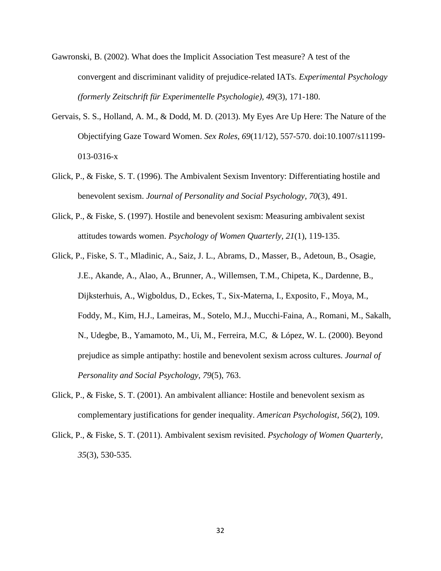- Gawronski, B. (2002). What does the Implicit Association Test measure? A test of the convergent and discriminant validity of prejudice-related IATs. *Experimental Psychology (formerly Zeitschrift für Experimentelle Psychologie), 49*(3), 171-180.
- Gervais, S. S., Holland, A. M., & Dodd, M. D. (2013). My Eyes Are Up Here: The Nature of the Objectifying Gaze Toward Women. *Sex Roles, 69*(11/12), 557-570. doi:10.1007/s11199- 013-0316-x
- Glick, P., & Fiske, S. T. (1996). The Ambivalent Sexism Inventory: Differentiating hostile and benevolent sexism. *Journal of Personality and Social Psychology, 70*(3), 491.
- Glick, P., & Fiske, S. (1997). Hostile and benevolent sexism: Measuring ambivalent sexist attitudes towards women. *Psychology of Women Quarterly, 21*(1), 119-135.
- Glick, P., Fiske, S. T., Mladinic, A., Saiz, J. L., Abrams, D., Masser, B., Adetoun, B., Osagie, J.E., Akande, A., Alao, A., Brunner, A., Willemsen, T.M., Chipeta, K., Dardenne, B., Dijksterhuis, A., Wigboldus, D., Eckes, T., Six-Materna, I., Exposito, F., Moya, M., Foddy, M., Kim, H.J., Lameiras, M., Sotelo, M.J., Mucchi-Faina, A., Romani, M., Sakalh, N., Udegbe, B., Yamamoto, M., Ui, M., Ferreira, M.C, & López, W. L. (2000). Beyond prejudice as simple antipathy: hostile and benevolent sexism across cultures. *Journal of Personality and Social Psychology, 79*(5), 763.
- Glick, P., & Fiske, S. T. (2001). An ambivalent alliance: Hostile and benevolent sexism as complementary justifications for gender inequality. *American Psychologist, 56*(2), 109.
- Glick, P., & Fiske, S. T. (2011). Ambivalent sexism revisited. *Psychology of Women Quarterly, 35*(3), 530-535.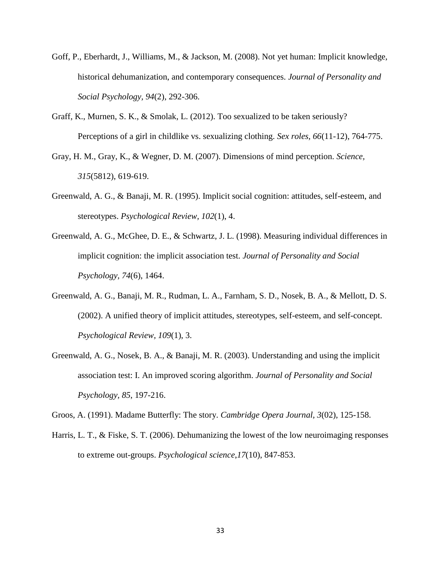- Goff, P., Eberhardt, J., Williams, M., & Jackson, M. (2008). Not yet human: Implicit knowledge, historical dehumanization, and contemporary consequences. *Journal of Personality and Social Psychology, 94*(2), 292-306.
- Graff, K., Murnen, S. K., & Smolak, L. (2012). Too sexualized to be taken seriously? Perceptions of a girl in childlike vs. sexualizing clothing. *Sex roles, 66*(11-12), 764-775.
- Gray, H. M., Gray, K., & Wegner, D. M. (2007). Dimensions of mind perception. *Science, 315*(5812), 619-619.
- Greenwald, A. G., & Banaji, M. R. (1995). Implicit social cognition: attitudes, self-esteem, and stereotypes. *Psychological Review, 102*(1), 4.
- Greenwald, A. G., McGhee, D. E., & Schwartz, J. L. (1998). Measuring individual differences in implicit cognition: the implicit association test. *Journal of Personality and Social Psychology, 74*(6), 1464.
- Greenwald, A. G., Banaji, M. R., Rudman, L. A., Farnham, S. D., Nosek, B. A., & Mellott, D. S. (2002). A unified theory of implicit attitudes, stereotypes, self-esteem, and self-concept. *Psychological Review, 109*(1), 3.
- Greenwald, A. G., Nosek, B. A., & Banaji, M. R. (2003). Understanding and using the implicit association test: I. An improved scoring algorithm. *Journal of Personality and Social Psychology, 85*, 197-216.

Groos, A. (1991). Madame Butterfly: The story. *Cambridge Opera Journal, 3*(02), 125-158.

Harris, L. T., & Fiske, S. T. (2006). Dehumanizing the lowest of the low neuroimaging responses to extreme out-groups. *Psychological science*,*17*(10), 847-853.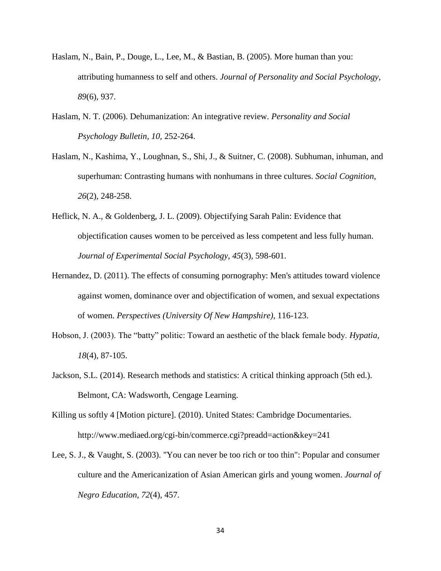- Haslam, N., Bain, P., Douge, L., Lee, M., & Bastian, B. (2005). More human than you: attributing humanness to self and others. *Journal of Personality and Social Psychology, 89*(6), 937.
- Haslam, N. T. (2006). Dehumanization: An integrative review. *Personality and Social Psychology Bulletin, 10,* 252-264.
- Haslam, N., Kashima, Y., Loughnan, S., Shi, J., & Suitner, C. (2008). Subhuman, inhuman, and superhuman: Contrasting humans with nonhumans in three cultures. *Social Cognition, 26*(2), 248-258.
- Heflick, N. A., & Goldenberg, J. L. (2009). Objectifying Sarah Palin: Evidence that objectification causes women to be perceived as less competent and less fully human. *Journal of Experimental Social Psychology, 45*(3), 598-601.
- Hernandez, D. (2011). The effects of consuming pornography: Men's attitudes toward violence against women, dominance over and objectification of women, and sexual expectations of women. *Perspectives (University Of New Hampshire),* 116-123.
- Hobson, J. (2003). The "batty" politic: Toward an aesthetic of the black female body. *Hypatia, 18*(4), 87-105.
- Jackson, S.L. (2014). Research methods and statistics: A critical thinking approach (5th ed.). Belmont, CA: Wadsworth, Cengage Learning.
- Killing us softly 4 [Motion picture]. (2010). United States: Cambridge Documentaries. http://www.mediaed.org/cgi-bin/commerce.cgi?preadd=action&key=241
- Lee, S. J., & Vaught, S. (2003). "You can never be too rich or too thin": Popular and consumer culture and the Americanization of Asian American girls and young women. *Journal of Negro Education*, *72*(4), 457.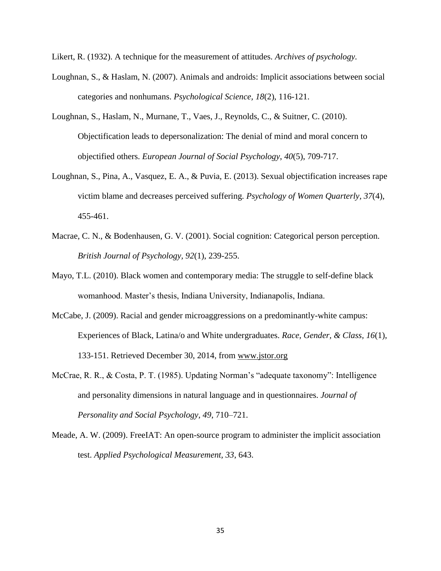Likert, R. (1932). A technique for the measurement of attitudes. *Archives of psychology.*

- Loughnan, S., & Haslam, N. (2007). Animals and androids: Implicit associations between social categories and nonhumans. *Psychological Science, 18*(2), 116-121.
- Loughnan, S., Haslam, N., Murnane, T., Vaes, J., Reynolds, C., & Suitner, C. (2010). Objectification leads to depersonalization: The denial of mind and moral concern to objectified others. *European Journal of Social Psychology*, *40*(5), 709-717.
- Loughnan, S., Pina, A., Vasquez, E. A., & Puvia, E. (2013). Sexual objectification increases rape victim blame and decreases perceived suffering. *Psychology of Women Quarterly, 37*(4), 455-461.
- Macrae, C. N., & Bodenhausen, G. V. (2001). Social cognition: Categorical person perception. *British Journal of Psychology, 92*(1), 239-255.
- Mayo, T.L. (2010). Black women and contemporary media: The struggle to self-define black womanhood. Master's thesis, Indiana University, Indianapolis, Indiana.
- McCabe, J. (2009). Racial and gender microaggressions on a predominantly-white campus: Experiences of Black, Latina/o and White undergraduates. *Race, Gender, & Class, 16*(1), 133-151. Retrieved December 30, 2014, from [www.jstor.org](http://www.jstor.org/)
- McCrae, R. R., & Costa, P. T. (1985). Updating Norman's "adequate taxonomy": Intelligence and personality dimensions in natural language and in questionnaires. *Journal of Personality and Social Psychology, 49*, 710–721.
- Meade, A. W. (2009). FreeIAT: An open-source program to administer the implicit association test. *Applied Psychological Measurement, 33*, 643.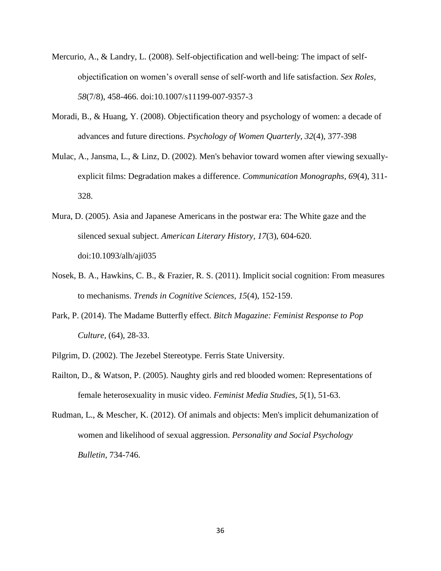- Mercurio, A., & Landry, L. (2008). Self-objectification and well-being: The impact of selfobjectification on women's overall sense of self-worth and life satisfaction. *Sex Roles, 58*(7/8), 458-466. doi:10.1007/s11199-007-9357-3
- Moradi, B., & Huang, Y. (2008). Objectification theory and psychology of women: a decade of advances and future directions. *Psychology of Women Quarterly, 32*(4), 377-398
- Mulac, A., Jansma, L., & Linz, D. (2002). Men's behavior toward women after viewing sexuallyexplicit films: Degradation makes a difference. *Communication Monographs, 69*(4), 311- 328.
- Mura, D. (2005). Asia and Japanese Americans in the postwar era: The White gaze and the silenced sexual subject. *American Literary History, 17*(3), 604-620. doi:10.1093/alh/aji035
- Nosek, B. A., Hawkins, C. B., & Frazier, R. S. (2011). Implicit social cognition: From measures to mechanisms. *Trends in Cognitive Sciences, 15*(4), 152-159.
- Park, P. (2014). The Madame Butterfly effect. *Bitch Magazine: Feminist Response to Pop Culture,* (64), 28-33.
- Pilgrim, D. (2002). The Jezebel Stereotype. Ferris State University.
- Railton, D., & Watson, P. (2005). Naughty girls and red blooded women: Representations of female heterosexuality in music video. *Feminist Media Studies, 5*(1), 51-63.
- Rudman, L., & Mescher, K. (2012). Of animals and objects: Men's implicit dehumanization of women and likelihood of sexual aggression. *Personality and Social Psychology Bulletin,* 734-746.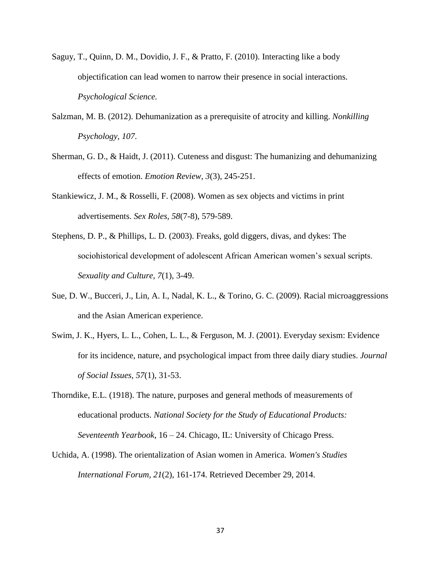- Saguy, T., Quinn, D. M., Dovidio, J. F., & Pratto, F. (2010). Interacting like a body objectification can lead women to narrow their presence in social interactions. *Psychological Science.*
- Salzman, M. B. (2012). Dehumanization as a prerequisite of atrocity and killing. *Nonkilling Psychology, 107*.
- Sherman, G. D., & Haidt, J. (2011). Cuteness and disgust: The humanizing and dehumanizing effects of emotion. *Emotion Review, 3*(3), 245-251.
- Stankiewicz, J. M., & Rosselli, F. (2008). Women as sex objects and victims in print advertisements. *Sex Roles, 58*(7-8), 579-589.
- Stephens, D. P., & Phillips, L. D. (2003). Freaks, gold diggers, divas, and dykes: The sociohistorical development of adolescent African American women's sexual scripts. *Sexuality and Culture, 7*(1), 3-49.
- Sue, D. W., Bucceri, J., Lin, A. I., Nadal, K. L., & Torino, G. C. (2009). Racial microaggressions and the Asian American experience.
- Swim, J. K., Hyers, L. L., Cohen, L. L., & Ferguson, M. J. (2001). Everyday sexism: Evidence for its incidence, nature, and psychological impact from three daily diary studies. *Journal of Social Issues, 57*(1), 31-53.
- Thorndike, E.L. (1918). The nature, purposes and general methods of measurements of educational products. *National Society for the Study of Educational Products: Seventeenth Yearbook*, 16 – 24. Chicago, IL: University of Chicago Press.
- Uchida, A. (1998). The orientalization of Asian women in America. *Women's Studies International Forum, 21*(2), 161-174. Retrieved December 29, 2014.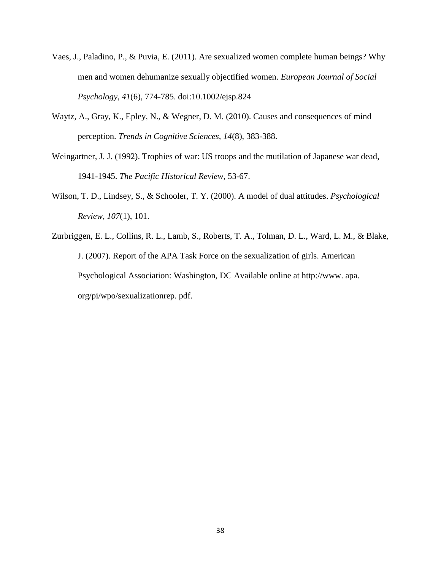- Vaes, J., Paladino, P., & Puvia, E. (2011). Are sexualized women complete human beings? Why men and women dehumanize sexually objectified women. *European Journal of Social Psychology*, *41*(6), 774-785. doi:10.1002/ejsp.824
- Waytz, A., Gray, K., Epley, N., & Wegner, D. M. (2010). Causes and consequences of mind perception. *Trends in Cognitive Sciences, 14*(8), 383-388.
- Weingartner, J. J. (1992). Trophies of war: US troops and the mutilation of Japanese war dead, 1941-1945. *The Pacific Historical Review*, 53-67.
- Wilson, T. D., Lindsey, S., & Schooler, T. Y. (2000). A model of dual attitudes. *Psychological Review, 107*(1), 101.
- Zurbriggen, E. L., Collins, R. L., Lamb, S., Roberts, T. A., Tolman, D. L., Ward, L. M., & Blake, J. (2007). Report of the APA Task Force on the sexualization of girls. American Psychological Association: Washington, DC Available online at http://www. apa. org/pi/wpo/sexualizationrep. pdf.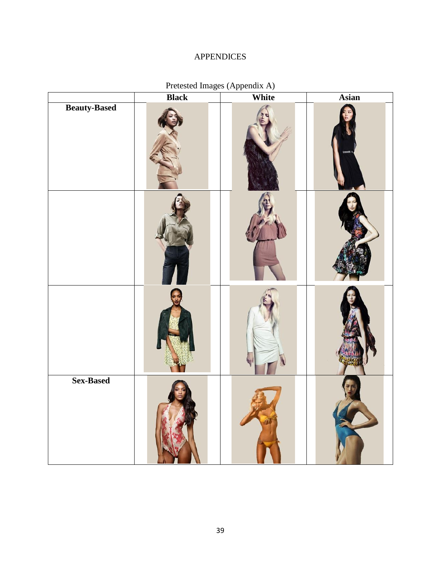## APPENDICES

<span id="page-43-1"></span><span id="page-43-0"></span>

|                     | <b>Black</b> | White | Asian |  |
|---------------------|--------------|-------|-------|--|
| <b>Beauty-Based</b> |              |       |       |  |
|                     |              |       |       |  |
|                     |              |       |       |  |
| Sex-Based           |              |       |       |  |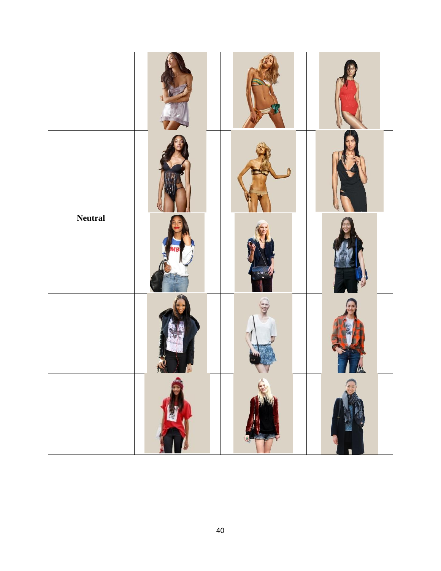| <b>Neutral</b> |   |  |
|----------------|---|--|
|                |   |  |
|                | 嗳 |  |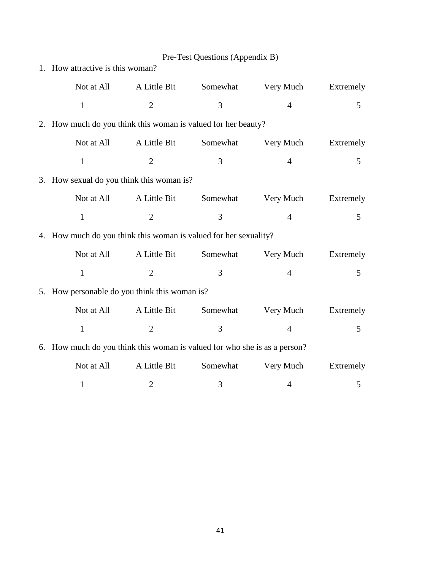<span id="page-45-0"></span>

|                                                                           |                | Pre-Test Questions (Appendix B) |                |             |
|---------------------------------------------------------------------------|----------------|---------------------------------|----------------|-------------|
| 1. How attractive is this woman?                                          |                |                                 |                |             |
| Not at All                                                                | A Little Bit   | Somewhat                        | Very Much      | Extremely   |
| $\mathbf{1}$                                                              | $\overline{2}$ | 3                               | $\overline{4}$ | 5           |
| 2. How much do you think this woman is valued for her beauty?             |                |                                 |                |             |
| Not at All                                                                | A Little Bit   | Somewhat                        | Very Much      | Extremely   |
| $\mathbf{1}$                                                              | $\overline{2}$ | 3                               | $\overline{4}$ | 5           |
| 3. How sexual do you think this woman is?                                 |                |                                 |                |             |
| Not at All                                                                | A Little Bit   | Somewhat                        | Very Much      | Extremely   |
| $\mathbf{1}$                                                              | $\overline{2}$ | 3                               | $\overline{4}$ | 5           |
| 4. How much do you think this woman is valued for her sexuality?          |                |                                 |                |             |
| Not at All                                                                | A Little Bit   | Somewhat                        | Very Much      | Extremely   |
| $\mathbf{1}$                                                              | $\overline{2}$ | 3                               | $\overline{4}$ | $5^{\circ}$ |
| 5. How personable do you think this woman is?                             |                |                                 |                |             |
| Not at All                                                                | A Little Bit   | Somewhat                        | Very Much      | Extremely   |
| $\mathbf{1}$                                                              | $\mathfrak{2}$ | 3                               | $\overline{4}$ | 5           |
| 6. How much do you think this woman is valued for who she is as a person? |                |                                 |                |             |
| Not at All                                                                | A Little Bit   | Somewhat                        | Very Much      | Extremely   |
| $\mathbf{1}$                                                              | $\overline{c}$ | 3                               | 4              | 5           |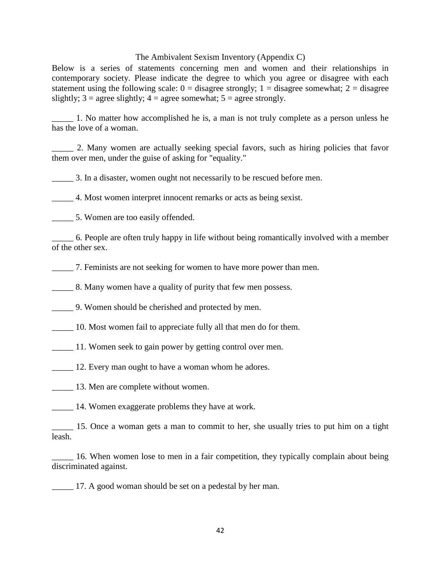#### The Ambivalent Sexism Inventory (Appendix C)

<span id="page-46-0"></span>Below is a series of statements concerning men and women and their relationships in contemporary society. Please indicate the degree to which you agree or disagree with each statement using the following scale:  $0 =$  disagree strongly;  $1 =$  disagree somewhat;  $2 =$  disagree slightly;  $3 = \text{agree slightly}$ ;  $4 = \text{agree somewhat}$ ;  $5 = \text{agree strongly}$ .

\_\_\_\_\_ 1. No matter how accomplished he is, a man is not truly complete as a person unless he has the love of a woman.

\_\_\_\_\_ 2. Many women are actually seeking special favors, such as hiring policies that favor them over men, under the guise of asking for "equality."

\_\_\_\_\_ 3. In a disaster, women ought not necessarily to be rescued before men.

\_\_\_\_\_ 4. Most women interpret innocent remarks or acts as being sexist.

\_\_\_\_\_ 5. Women are too easily offended.

\_\_\_\_\_ 6. People are often truly happy in life without being romantically involved with a member of the other sex.

\_\_\_\_\_ 7. Feminists are not seeking for women to have more power than men.

8. Many women have a quality of purity that few men possess.

\_\_\_\_\_ 9. Women should be cherished and protected by men.

\_\_\_\_\_ 10. Most women fail to appreciate fully all that men do for them.

\_\_\_\_\_ 11. Women seek to gain power by getting control over men.

\_\_\_\_\_ 12. Every man ought to have a woman whom he adores.

13. Men are complete without women.

14. Women exaggerate problems they have at work.

\_\_\_\_\_ 15. Once a woman gets a man to commit to her, she usually tries to put him on a tight leash.

\_\_\_\_\_ 16. When women lose to men in a fair competition, they typically complain about being discriminated against.

\_\_\_\_\_ 17. A good woman should be set on a pedestal by her man.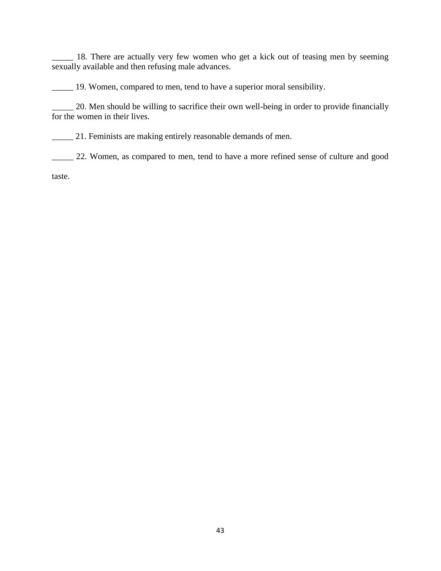18. There are actually very few women who get a kick out of teasing men by seeming sexually available and then refusing male advances.

\_\_\_\_\_ 19. Women, compared to men, tend to have a superior moral sensibility.

20. Men should be willing to sacrifice their own well-being in order to provide financially for the women in their lives.

\_\_\_\_\_ 21. Feminists are making entirely reasonable demands of men.

\_\_\_\_\_ 22. Women, as compared to men, tend to have a more refined sense of culture and good

taste.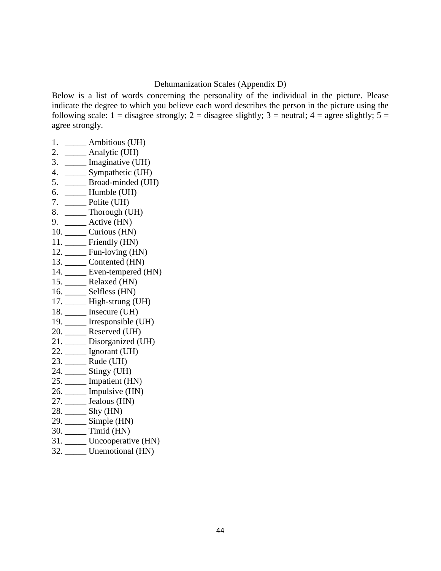#### Dehumanization Scales (Appendix D)

<span id="page-48-0"></span>Below is a list of words concerning the personality of the individual in the picture. Please indicate the degree to which you believe each word describes the person in the picture using the following scale:  $1 =$  disagree strongly;  $2 =$  disagree slightly;  $3 =$  neutral;  $4 =$  agree slightly;  $5 =$ agree strongly.

- 1. \_\_\_\_\_ Ambitious (UH)
- 2. \_\_\_\_\_ Analytic (UH)
- 3. \_\_\_\_\_ Imaginative (UH)
- 4. Sympathetic (UH)
- 5. \_\_\_\_\_ Broad-minded (UH)
- 6. \_\_\_\_\_ Humble (UH)
- 7. \_\_\_\_\_ Polite (UH)
- 8. \_\_\_\_\_ Thorough (UH)
- 9. \_\_\_\_\_ Active (HN)
- 10. \_\_\_\_\_ Curious (HN)
- 11. \_\_\_\_\_\_ Friendly (HN)
- 12. \_\_\_\_\_ Fun-loving (HN)
- 13. \_\_\_\_\_ Contented (HN) 14. \_\_\_\_\_ Even-tempered (HN)
- 15. \_\_\_\_\_ Relaxed (HN)
- 16. \_\_\_\_\_ Selfless (HN)
- 17. **High-strung (UH)**
- 18. \_\_\_\_\_ Insecure (UH)
- 19. Irresponsible (UH)
- 20. \_\_\_\_\_ Reserved (UH)
- 21. \_\_\_\_\_ Disorganized (UH)
- 22. \_\_\_\_\_ Ignorant (UH)
- 23. \_\_\_\_\_ Rude (UH)
- 24. \_\_\_\_\_ Stingy (UH)
- 25. \_\_\_\_\_ Impatient (HN)
- 26. \_\_\_\_\_ Impulsive (HN)
- 27. Jealous (HN)
- 28. \_\_\_\_\_ Shy (HN)
- 29. Simple (HN)
- 30. \_\_\_\_\_ Timid (HN)
- 31. \_\_\_\_\_ Uncooperative (HN)
- 32. \_\_\_\_\_ Unemotional (HN)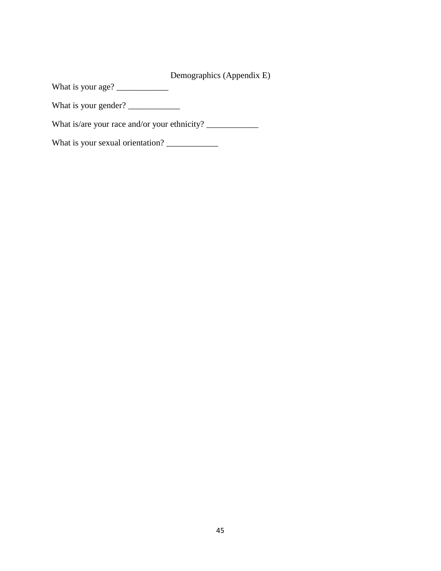Demographics (Appendix E)

<span id="page-49-0"></span>What is your age? \_\_\_\_\_\_\_\_\_\_\_\_

What is your gender? \_\_\_\_\_\_\_\_\_\_\_\_

What is/are your race and/or your ethnicity? \_\_\_\_\_\_\_\_\_\_\_\_\_\_\_\_\_\_\_\_\_\_\_\_\_\_\_\_\_\_\_\_\_\_\_

What is your sexual orientation? \_\_\_\_\_\_\_\_\_\_\_\_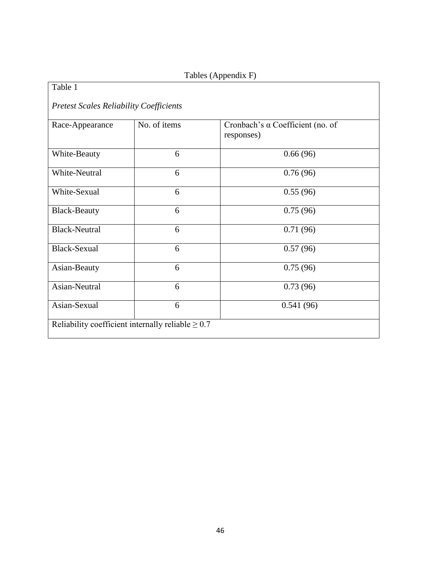# Tables (Appendix F)

<span id="page-50-0"></span>

| Table 1                                                |              |                                                |  |  |
|--------------------------------------------------------|--------------|------------------------------------------------|--|--|
| <b>Pretest Scales Reliability Coefficients</b>         |              |                                                |  |  |
| Race-Appearance                                        | No. of items | Cronbach's a Coefficient (no. of<br>responses) |  |  |
| White-Beauty                                           | 6            | 0.66(96)                                       |  |  |
| White-Neutral                                          | 6            | 0.76(96)                                       |  |  |
| White-Sexual                                           | 6            | 0.55(96)                                       |  |  |
| <b>Black-Beauty</b>                                    | 6            | 0.75(96)                                       |  |  |
| <b>Black-Neutral</b>                                   | 6            | 0.71(96)                                       |  |  |
| <b>Black-Sexual</b>                                    | 6            | 0.57(96)                                       |  |  |
| Asian-Beauty                                           | 6            | 0.75(96)                                       |  |  |
| Asian-Neutral                                          | 6            | 0.73(96)                                       |  |  |
| Asian-Sexual                                           | 6            | 0.541(96)                                      |  |  |
| Reliability coefficient internally reliable $\geq 0.7$ |              |                                                |  |  |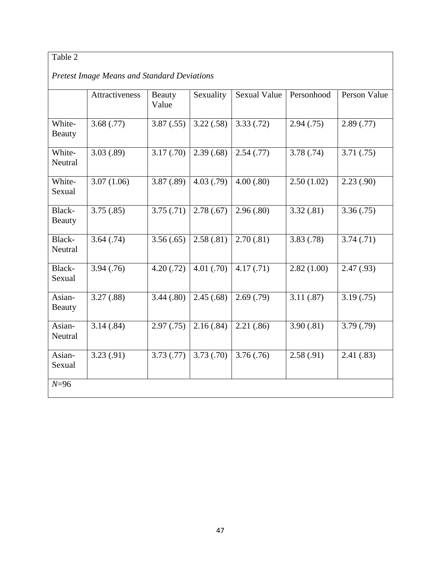# Table 2

# *Pretest Image Means and Standard Deviations*

|                         | <b>Attractiveness</b> | Beauty<br>Value | Sexuality  | <b>Sexual Value</b> | Personhood | Person Value |
|-------------------------|-----------------------|-----------------|------------|---------------------|------------|--------------|
| White-<br>Beauty        | 3.68(.77)             | 3.87(.55)       | 3.22(.58)  | 3.33(.72)           | 2.94(.75)  | 2.89(.77)    |
| White-<br>Neutral       | 3.03(.89)             | 3.17(.70)       | 2.39(.68)  | 2.54(.77)           | 3.78(.74)  | 3.71(.75)    |
| White-<br>Sexual        | 3.07(1.06)            | 3.87(.89)       | 4.03(0.79) | 4.00(.80)           | 2.50(1.02) | 2.23(.90)    |
| Black-<br><b>Beauty</b> | 3.75(.85)             | 3.75(.71)       | 2.78(.67)  | 2.96(.80)           | 3.32(.81)  | 3.36(.75)    |
| Black-<br>Neutral       | 3.64(.74)             | 3.56(.65)       | 2.58(.81)  | 2.70(.81)           | 3.83(.78)  | 3.74(0.71)   |
| Black-<br>Sexual        | 3.94(.76)             | 4.20(0.72)      | 4.01(.70)  | 4.17(0.71)          | 2.82(1.00) | 2.47(0.93)   |
| Asian-<br><b>Beauty</b> | 3.27(.88)             | 3.44(.80)       | 2.45(.68)  | 2.69(.79)           | 3.11(.87)  | 3.19(0.75)   |
| Asian-<br>Neutral       | 3.14(.84)             | 2.97(.75)       | 2.16(.84)  | 2.21(.86)           | 3.90(.81)  | 3.79(0.79)   |
| Asian-<br>Sexual        | 3.23(.91)             | 3.73(0.77)      | 3.73(.70)  | 3.76(.76)           | 2.58(.91)  | 2.41(.83)    |
| $N=96$                  |                       |                 |            |                     |            |              |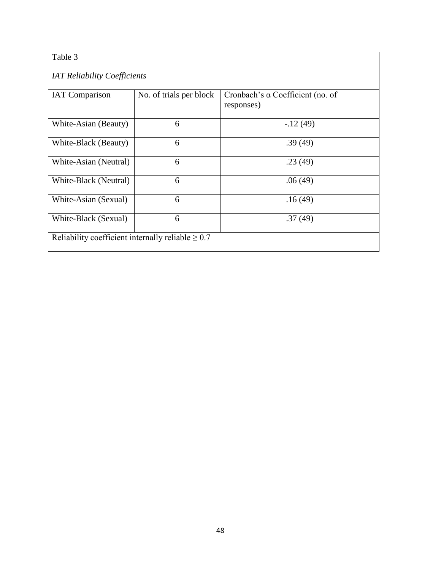# Table 3

### *IAT Reliability Coefficients*

| <b>IAT Comparison</b>                                  | No. of trials per block | Cronbach's $\alpha$ Coefficient (no. of |  |  |
|--------------------------------------------------------|-------------------------|-----------------------------------------|--|--|
|                                                        |                         | responses)                              |  |  |
| White-Asian (Beauty)                                   | 6                       | $-12(49)$                               |  |  |
| White-Black (Beauty)                                   | 6                       | .39(49)                                 |  |  |
| White-Asian (Neutral)                                  | 6                       | .23(49)                                 |  |  |
| White-Black (Neutral)                                  | 6                       | .06(49)                                 |  |  |
| White-Asian (Sexual)                                   | 6                       | .16(49)                                 |  |  |
| White-Black (Sexual)                                   | 6                       | .37(49)                                 |  |  |
| Reliability coefficient internally reliable $\geq 0.7$ |                         |                                         |  |  |